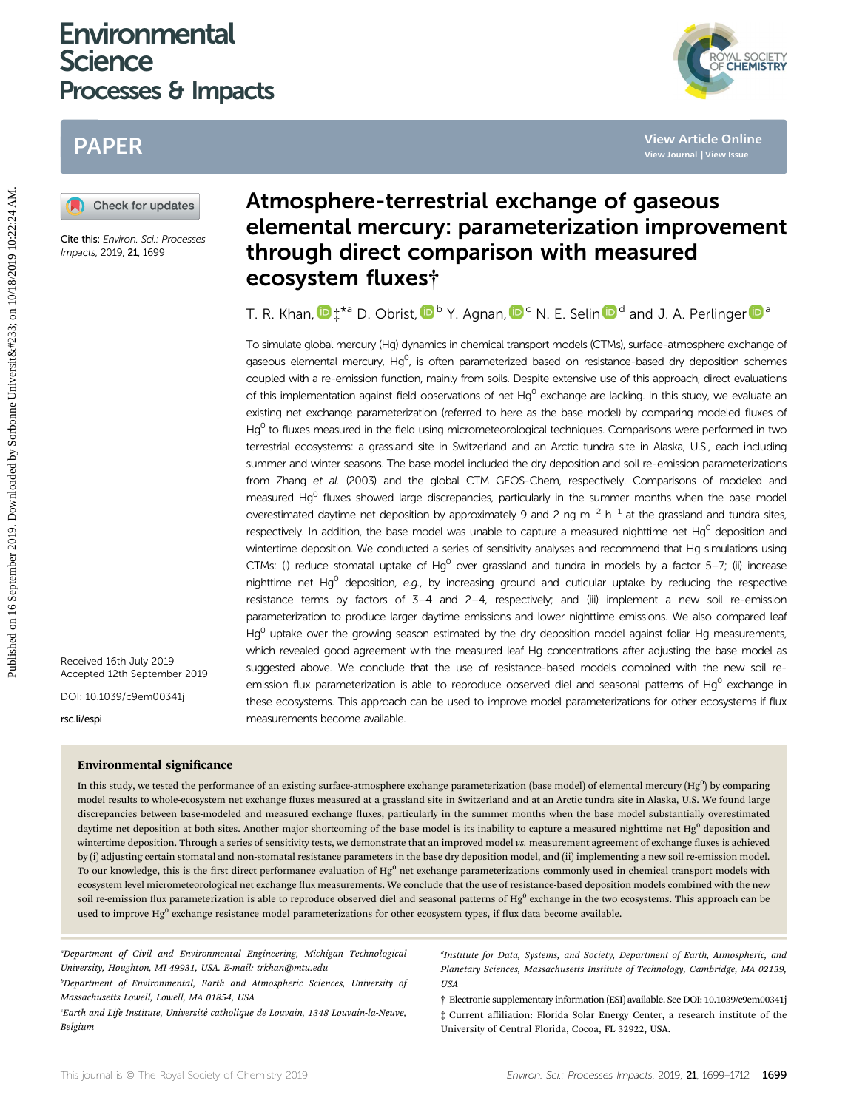# **Environmental Science** Processes & Impacts



# PAPER



Cite this: Environ. Sci.: Processes Impacts, 2019, <sup>21</sup>, 1699

# Atmosphere-terrestrial exchange of gaseous elemental mercury: parameterization improvement through direct comparison with measured ecosystem fluxes†

T. R. Khan[,](http://orcid.org/0000-0002-9349-6310)  $\mathbf{D}$   $\ddagger$  $\ddagger$ \*a D. Obrist,  $\mathbf{D}^b$  Y. Agnan,  $\mathbf{D}^c$  N. E. Selin  $\mathbf{D}^d$  and J. A. Perlinger  $\mathbf{D}^a$ 

To simulate global mercury (Hg) dynamics in chemical transport models (CTMs), surface-atmosphere exchange of gaseous elemental mercury,  $Hg^0$ , is often parameterized based on resistance-based dry deposition schemes coupled with a re-emission function, mainly from soils. Despite extensive use of this approach, direct evaluations of this implementation against field observations of net Hg<sup>0</sup> exchange are lacking. In this study, we evaluate an existing net exchange parameterization (referred to here as the base model) by comparing modeled fluxes of Hg<sup>0</sup> to fluxes measured in the field using micrometeorological techniques. Comparisons were performed in two terrestrial ecosystems: a grassland site in Switzerland and an Arctic tundra site in Alaska, U.S., each including summer and winter seasons. The base model included the dry deposition and soil re-emission parameterizations from Zhang et al. (2003) and the global CTM GEOS-Chem, respectively. Comparisons of modeled and measured Hg $^{0}$  fluxes showed large discrepancies, particularly in the summer months when the base model overestimated daytime net deposition by approximately 9 and 2 ng  $m^{-2}$  h<sup>-1</sup> at the grassland and tundra sites, respectively. In addition, the base model was unable to capture a measured nighttime net  $Hq^0$  deposition and wintertime deposition. We conducted a series of sensitivity analyses and recommend that Hg simulations using CTMs: (i) reduce stomatal uptake of Hg<sup>0</sup> over grassland and tundra in models by a factor 5–7; (ii) increase nighttime net Hg<sup>0</sup> deposition, e.g., by increasing ground and cuticular uptake by reducing the respective resistance terms by factors of 3–4 and 2–4, respectively; and (iii) implement a new soil re-emission parameterization to produce larger daytime emissions and lower nighttime emissions. We also compared leaf Hq<sup>0</sup> uptake over the growing season estimated by the dry deposition model against foliar Hg measurements, which revealed good agreement with the measured leaf Hg concentrations after adjusting the base model as suggested above. We conclude that the use of resistance-based models combined with the new soil reemission flux parameterization is able to reproduce observed diel and seasonal patterns of  $Hg^0$  exchange in these ecosystems. This approach can be used to improve model parameterizations for other ecosystems if flux measurements become available. **PAPER**<br> **Published on 16 September 2019. <b>Atmosphere-terrestrial exchange of gaseous**<br> **Excelses the movement of the comparison with measured**<br> **Excelses the movement of the comparison with measured**<br> **Excelses the moveme** 

Received 16th July 2019 Accepted 12th September 2019

DOI: 10.1039/c9em00341j

rsc.li/espi

#### Environmental significance

In this study, we tested the performance of an existing surface-atmosphere exchange parameterization (base model) of elemental mercury (Hg<sup>0</sup>) by comparing model results to whole-ecosystem net exchange fluxes measured at a grassland site in Switzerland and at an Arctic tundra site in Alaska, U.S. We found large discrepancies between base-modeled and measured exchange fluxes, particularly in the summer months when the base model substantially overestimated daytime net deposition at both sites. Another major shortcoming of the base model is its inability to capture a measured nighttime net Hg<sup>0</sup> deposition and wintertime deposition. Through a series of sensitivity tests, we demonstrate that an improved model vs. measurement agreement of exchange fluxes is achieved by (i) adjusting certain stomatal and non-stomatal resistance parameters in the base dry deposition model, and (ii) implementing a new soil re-emission model. To our knowledge, this is the first direct performance evaluation of  $Hg^0$  net exchange parameterizations commonly used in chemical transport models with ecosystem level micrometeorological net exchange flux measurements. We conclude that the use of resistance-based deposition models combined with the new soil re-emission flux parameterization is able to reproduce observed diel and seasonal patterns of Hg<sup>0</sup> exchange in the two ecosystems. This approach can be used to improve Hg<sup>0</sup> exchange resistance model parameterizations for other ecosystem types, if flux data become available.

"Department of Civil and Environmental Engineering, Michigan Technological University, Houghton, MI 49931, USA. E-mail: trkhan@mtu.edu

b Department of Environmental, Earth and Atmospheric Sciences, University of Massachusetts Lowell, Lowell, MA 01854, USA

Earth and Life Institute, Université catholique de Louvain, 1348 Louvain-la-Neuve, Belgium

<sup>d</sup>Institute for Data, Systems, and Society, Department of Earth, Atmospheric, and Planetary Sciences, Massachusetts Institute of Technology, Cambridge, MA 02139, USA

† Electronic supplementary information (ESI) available. See DOI: 10.1039/c9em00341j ‡ Current affiliation: Florida Solar Energy Center, a research institute of the University of Central Florida, Cocoa, FL 32922, USA.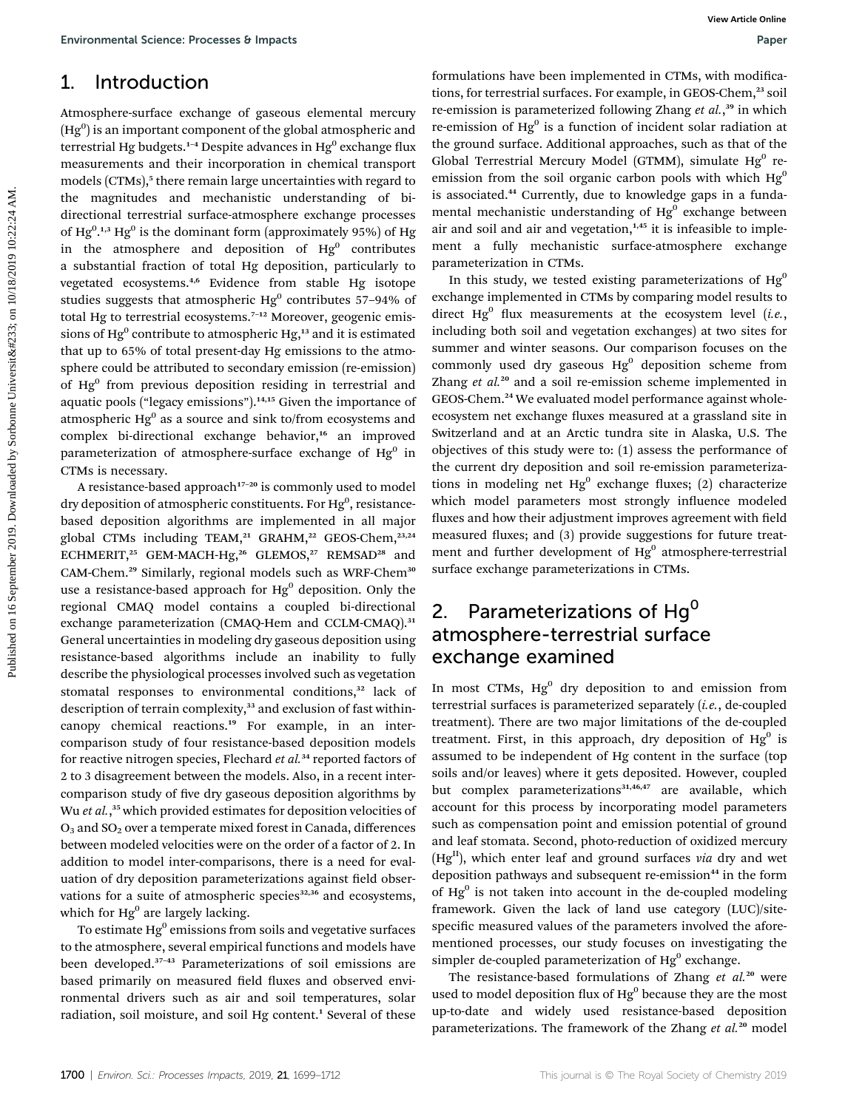### 1. Introduction

Atmosphere-surface exchange of gaseous elemental mercury  $(\mathrm{Hg}^0)$  is an important component of the global atmospheric and terrestrial Hg budgets.<sup>1-4</sup> Despite advances in  $He^{0}$  exchange flux measurements and their incorporation in chemical transport models (CTMs),<sup>5</sup> there remain large uncertainties with regard to the magnitudes and mechanistic understanding of bidirectional terrestrial surface-atmosphere exchange processes of  $Hg^{0.1,3}$   $Hg^{0}$  is the dominant form (approximately 95%) of  $Hg$ in the atmosphere and deposition of  $Hg^0$  contributes a substantial fraction of total Hg deposition, particularly to vegetated ecosystems.4,6 Evidence from stable Hg isotope studies suggests that atmospheric  $Hg^0$  contributes 57-94% of total Hg to terrestrial ecosystems.<sup>7-12</sup> Moreover, geogenic emissions of  $Hg^0$  contribute to atmospheric  $Hg^{13}$  and it is estimated that up to 65% of total present-day Hg emissions to the atmosphere could be attributed to secondary emission (re-emission) of Hg<sup>0</sup> from previous deposition residing in terrestrial and aquatic pools ("legacy emissions").<sup>14,15</sup> Given the importance of atmospheric  $Hg<sup>0</sup>$  as a source and sink to/from ecosystems and complex bi-directional exchange behavior,<sup>16</sup> an improved parameterization of atmosphere-surface exchange of  $Hg^0$  in CTMs is necessary. Environmental Science Processes b impacts<br>
1. Introduction<br>
1. Control control control control control control control control control control control control control control control control control control control contro

A resistance-based approach<sup>17-20</sup> is commonly used to model dry deposition of atmospheric constituents. For Hg<sup>0</sup>, resistancebased deposition algorithms are implemented in all major global CTMs including TEAM,<sup>21</sup> GRAHM,<sup>22</sup> GEOS-Chem,<sup>23,24</sup> ECHMERIT,<sup>25</sup> GEM-MACH-Hg,<sup>26</sup> GLEMOS,<sup>27</sup> REMSAD<sup>28</sup> and CAM-Chem.<sup>29</sup> Similarly, regional models such as WRF-Chem<sup>30</sup> use a resistance-based approach for  $Hg^0$  deposition. Only the regional CMAQ model contains a coupled bi-directional exchange parameterization (CMAQ-Hem and CCLM-CMAQ).<sup>31</sup> General uncertainties in modeling dry gaseous deposition using resistance-based algorithms include an inability to fully describe the physiological processes involved such as vegetation stomatal responses to environmental conditions,<sup>32</sup> lack of description of terrain complexity,<sup>33</sup> and exclusion of fast withincanopy chemical reactions.<sup>19</sup> For example, in an intercomparison study of four resistance-based deposition models for reactive nitrogen species, Flechard et  $al.^{34}$  reported factors of 2 to 3 disagreement between the models. Also, in a recent intercomparison study of five dry gaseous deposition algorithms by Wu et al.,<sup>35</sup> which provided estimates for deposition velocities of  $O_3$  and  $SO_2$  over a temperate mixed forest in Canada, differences between modeled velocities were on the order of a factor of 2. In addition to model inter-comparisons, there is a need for evaluation of dry deposition parameterizations against field observations for a suite of atmospheric species<sup>32,36</sup> and ecosystems, which for  $Hg^0$  are largely lacking.

To estimate  $Hg<sup>0</sup>$  emissions from soils and vegetative surfaces to the atmosphere, several empirical functions and models have been developed.<sup>37</sup>–<sup>43</sup> Parameterizations of soil emissions are based primarily on measured field fluxes and observed environmental drivers such as air and soil temperatures, solar radiation, soil moisture, and soil Hg content.<sup>1</sup> Several of these

formulations have been implemented in CTMs, with modifications, for terrestrial surfaces. For example, in GEOS-Chem,<sup>23</sup> soil re-emission is parameterized following Zhang et al.,<sup>39</sup> in which re-emission of  $Hg^0$  is a function of incident solar radiation at the ground surface. Additional approaches, such as that of the Global Terrestrial Mercury Model (GTMM), simulate  $Hg^0$  reemission from the soil organic carbon pools with which  $Hg<sup>0</sup>$ is associated.<sup>44</sup> Currently, due to knowledge gaps in a fundamental mechanistic understanding of  $Hg<sup>0</sup>$  exchange between air and soil and air and vegetation, $1,45$  it is infeasible to implement a fully mechanistic surface-atmosphere exchange parameterization in CTMs.

In this study, we tested existing parameterizations of  $Hg<sup>0</sup>$ exchange implemented in CTMs by comparing model results to direct  $Hg^0$  flux measurements at the ecosystem level (*i.e.*, including both soil and vegetation exchanges) at two sites for summer and winter seasons. Our comparison focuses on the commonly used dry gaseous  $Hg^0$  deposition scheme from Zhang  $et$   $al.^{20}$  and a soil re-emission scheme implemented in GEOS-Chem.<sup>24</sup> We evaluated model performance against wholeecosystem net exchange fluxes measured at a grassland site in Switzerland and at an Arctic tundra site in Alaska, U.S. The objectives of this study were to: (1) assess the performance of the current dry deposition and soil re-emission parameterizations in modeling net  $Hg^0$  exchange fluxes; (2) characterize which model parameters most strongly influence modeled fluxes and how their adjustment improves agreement with field measured fluxes; and  $(3)$  provide suggestions for future treatment and further development of  $Hg^0$  atmosphere-terrestrial surface exchange parameterizations in CTMs.

## 2. Parameterizations of  $Hg^0$ atmosphere-terrestrial surface exchange examined

In most CTMs,  $Hg^0$  dry deposition to and emission from terrestrial surfaces is parameterized separately (i.e., de-coupled treatment). There are two major limitations of the de-coupled treatment. First, in this approach, dry deposition of  $Hg^0$  is assumed to be independent of Hg content in the surface (top soils and/or leaves) where it gets deposited. However, coupled but complex parameterizations<sup>31,46,47</sup> are available, which account for this process by incorporating model parameters such as compensation point and emission potential of ground and leaf stomata. Second, photo-reduction of oxidized mercury  $(Hg<sup>II</sup>)$ , which enter leaf and ground surfaces via dry and wet deposition pathways and subsequent re-emission<sup>44</sup> in the form of  $Hg<sup>0</sup>$  is not taken into account in the de-coupled modeling framework. Given the lack of land use category (LUC)/sitespecific measured values of the parameters involved the aforementioned processes, our study focuses on investigating the simpler de-coupled parameterization of  $Hg<sup>0</sup>$  exchange.

The resistance-based formulations of Zhang et al.<sup>20</sup> were used to model deposition flux of  $Hg^0$  because they are the most up-to-date and widely used resistance-based deposition parameterizations. The framework of the Zhang et al.<sup>20</sup> model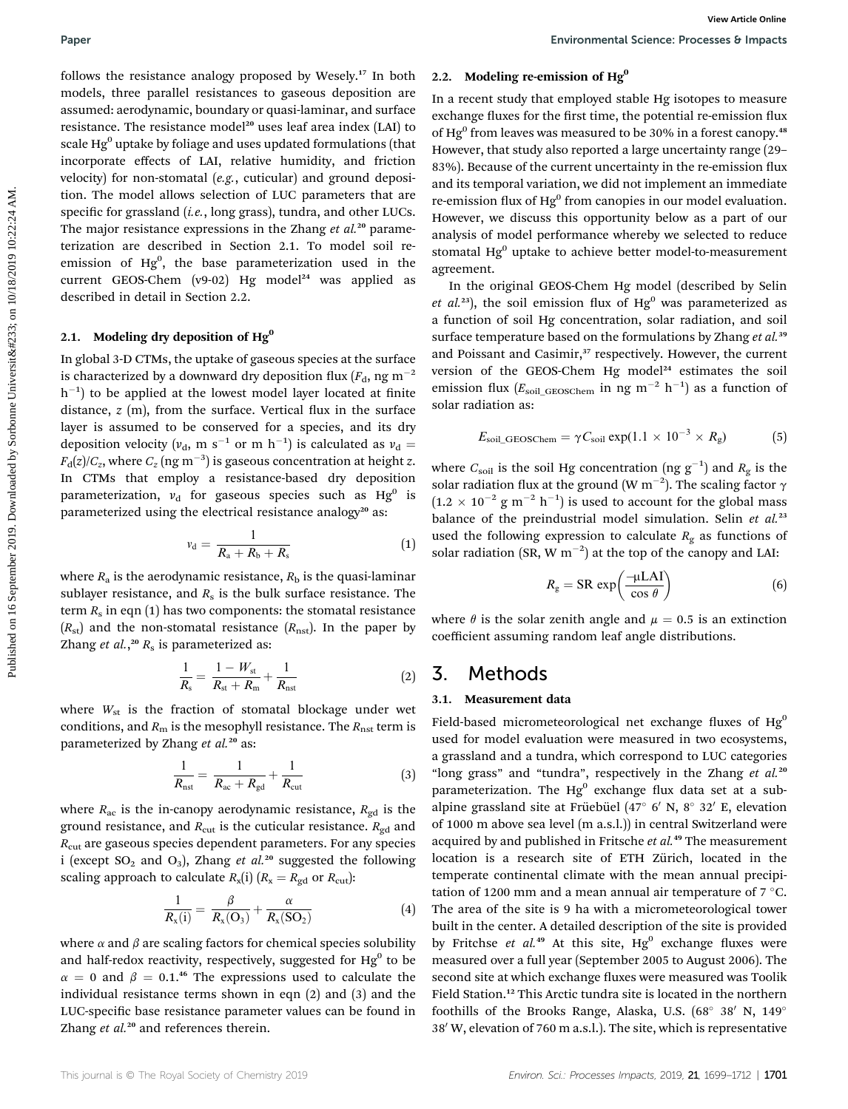follows the resistance analogy proposed by Wesely.<sup>17</sup> In both models, three parallel resistances to gaseous deposition are assumed: aerodynamic, boundary or quasi-laminar, and surface resistance. The resistance model<sup>20</sup> uses leaf area index (LAI) to scale  $Hg<sup>0</sup>$  uptake by foliage and uses updated formulations (that incorporate effects of LAI, relative humidity, and friction velocity) for non-stomatal (e.g., cuticular) and ground deposition. The model allows selection of LUC parameters that are specific for grassland  $(i.e., long grass)$ , tundra, and other LUCs. The major resistance expressions in the Zhang et  $al.^{20}$  parameterization are described in Section 2.1. To model soil reemission of Hg<sup>0</sup>, the base parameterization used in the current GEOS-Chem (v9-02) Hg model<sup>24</sup> was applied as described in detail in Section 2.2. **Puper**<br> **Environmental Science Processes b mused<br>
for the resulting term is a modelling recention of High schemes by the state and controlling the properties of the environmental schemes the product of the environmental** 

#### 2.1. Modeling dry deposition of  $Hg^0$

In global 3-D CTMs, the uptake of gaseous species at the surface is characterized by a downward dry deposition flux  $(F_d, ng m^{-2})$  $\,h^{-1}\,$ ) to be applied at the lowest model layer located at finite distance,  $z$  (m), from the surface. Vertical flux in the surface layer is assumed to be conserved for a species, and its dry deposition velocity ( $v_{d}$ , m s<sup>-1</sup> or m h<sup>-1</sup>) is calculated as  $v_{d} =$  $F_{\rm d}(z)/C_z$ , where  $C_z\,({\rm ng~m}^{-3})$  is gaseous concentration at height  $z.$ In CTMs that employ a resistance-based dry deposition parameterization,  $v_d$  for gaseous species such as Hg<sup>0</sup> is parameterized using the electrical resistance analogy<sup>20</sup> as:

$$
v_{\rm d} = \frac{1}{R_{\rm a} + R_{\rm b} + R_{\rm s}}\tag{1}
$$

where  $R_a$  is the aerodynamic resistance,  $R_b$  is the quasi-laminar sublayer resistance, and  $R_s$  is the bulk surface resistance. The term  $R_s$  in eqn (1) has two components: the stomatal resistance  $(R_{\rm st})$  and the non-stomatal resistance  $(R_{\rm nst})$ . In the paper by Zhang *et al.*, $^{20}$   $R_s$  is parameterized as:

$$
\frac{1}{R_{\rm s}} = \frac{1 - W_{\rm st}}{R_{\rm st} + R_{\rm m}} + \frac{1}{R_{\rm nst}}\tag{2}
$$

where  $W_{st}$  is the fraction of stomatal blockage under wet conditions, and  $R<sub>m</sub>$  is the mesophyll resistance. The  $R<sub>nst</sub>$  term is parameterized by Zhang et al.<sup>20</sup> as:

$$
\frac{1}{R_{\text{nst}}} = \frac{1}{R_{\text{ac}} + R_{\text{gd}}} + \frac{1}{R_{\text{cut}}}
$$
(3)

where  $R_{\text{ac}}$  is the in-canopy aerodynamic resistance,  $R_{\text{gd}}$  is the ground resistance, and  $R_{\text{cut}}$  is the cuticular resistance.  $R_{\text{gd}}$  and  $R_{\text{cut}}$  are gaseous species dependent parameters. For any species i (except  $SO_2$  and  $O_3$ ), Zhang *et al.*<sup>20</sup> suggested the following scaling approach to calculate  $R_x(i)$  ( $R_x = R_{gd}$  or  $R_{cut}$ ):

$$
\frac{1}{R_{x}(i)} = \frac{\beta}{R_{x}(O_{3})} + \frac{\alpha}{R_{x}(SO_{2})}
$$
(4)

where  $\alpha$  and  $\beta$  are scaling factors for chemical species solubility and half-redox reactivity, respectively, suggested for  $Hg^0$  to be  $\alpha = 0$  and  $\beta = 0.1$ .<sup>46</sup> The expressions used to calculate the individual resistance terms shown in eqn (2) and (3) and the LUC-specific base resistance parameter values can be found in Zhang et al.<sup>20</sup> and references therein.

#### 2.2. Modeling re-emission of  $Hg<sup>0</sup>$

In a recent study that employed stable Hg isotopes to measure exchange fluxes for the first time, the potential re-emission flux of  $Hg<sup>0</sup>$  from leaves was measured to be 30% in a forest canopy.<sup>48</sup> However, that study also reported a large uncertainty range (29– 83%). Because of the current uncertainty in the re-emission flux and its temporal variation, we did not implement an immediate re-emission flux of  $Hg<sup>0</sup>$  from canopies in our model evaluation. However, we discuss this opportunity below as a part of our analysis of model performance whereby we selected to reduce stomatal  $Hg<sup>0</sup>$  uptake to achieve better model-to-measurement agreement.

In the original GEOS-Chem Hg model (described by Selin et al.<sup>23</sup>), the soil emission flux of  $Hg^0$  was parameterized as a function of soil Hg concentration, solar radiation, and soil surface temperature based on the formulations by Zhang et al.<sup>39</sup> and Poissant and Casimir,<sup>37</sup> respectively. However, the current version of the GEOS-Chem Hg model<sup>24</sup> estimates the soil emission flux ( $E_{\text{soil\_GEOSChem}}$  in ng m<sup>-2</sup> h<sup>-1</sup>) as a function of solar radiation as:

$$
E_{\text{soil\_GEOSChem}} = \gamma C_{\text{soil}} \exp(1.1 \times 10^{-3} \times R_{\text{g}})
$$
 (5)

where  $C_{\rm soil}$  is the soil Hg concentration (ng  ${\rm g}^{-1})$  and  $R_{\rm g}$  is the solar radiation flux at the ground  $(W \text{ m}^{-2})$ . The scaling factor  $\gamma$ <br>(1.2  $\times$  10<sup>-2</sup>  $\alpha$  m<sup>-2</sup> b<sup>-1</sup>) is used to account for the global mass  $(1.2 \times 10^{-2} \text{ g m}^{-2} \text{ h}^{-1})$  is used to account for the global mass balance of the preindustrial model simulation. Selin  $et$   $al.^{23}$ used the following expression to calculate  $R_g$  as functions of solar radiation (SR, W  $m^{-2}$ ) at the top of the canopy and LAI:

$$
R_{\rm g} = \text{SR} \, \exp\left(\frac{-\mu \text{LAI}}{\cos \theta}\right) \tag{6}
$$

where  $\theta$  is the solar zenith angle and  $\mu = 0.5$  is an extinction coefficient assuming random leaf angle distributions.

### 3. Methods

#### 3.1. Measurement data

Field-based micrometeorological net exchange fluxes of  $Hg^0$ used for model evaluation were measured in two ecosystems, a grassland and a tundra, which correspond to LUC categories "long grass" and "tundra", respectively in the Zhang et al.<sup>20</sup> parameterization. The  $Hg^0$  exchange flux data set at a subalpine grassland site at Früebüel (47 $\degree$  6' N, 8 $\degree$  32' E, elevation of 1000 m above sea level (m a.s.l.)) in central Switzerland were acquired by and published in Fritsche et al.<sup>49</sup> The measurement location is a research site of ETH Zürich, located in the temperate continental climate with the mean annual precipitation of 1200 mm and a mean annual air temperature of  $7 °C$ . The area of the site is 9 ha with a micrometeorological tower built in the center. A detailed description of the site is provided by Fritchse et al.<sup>49</sup> At this site,  $Hg^0$  exchange fluxes were measured over a full year (September 2005 to August 2006). The second site at which exchange fluxes were measured was Toolik Field Station.<sup>12</sup> This Arctic tundra site is located in the northern foothills of the Brooks Range, Alaska, U.S. (68 $^{\circ}$  38' N, 149 $^{\circ}$ 38' W, elevation of 760 m a.s.l.). The site, which is representative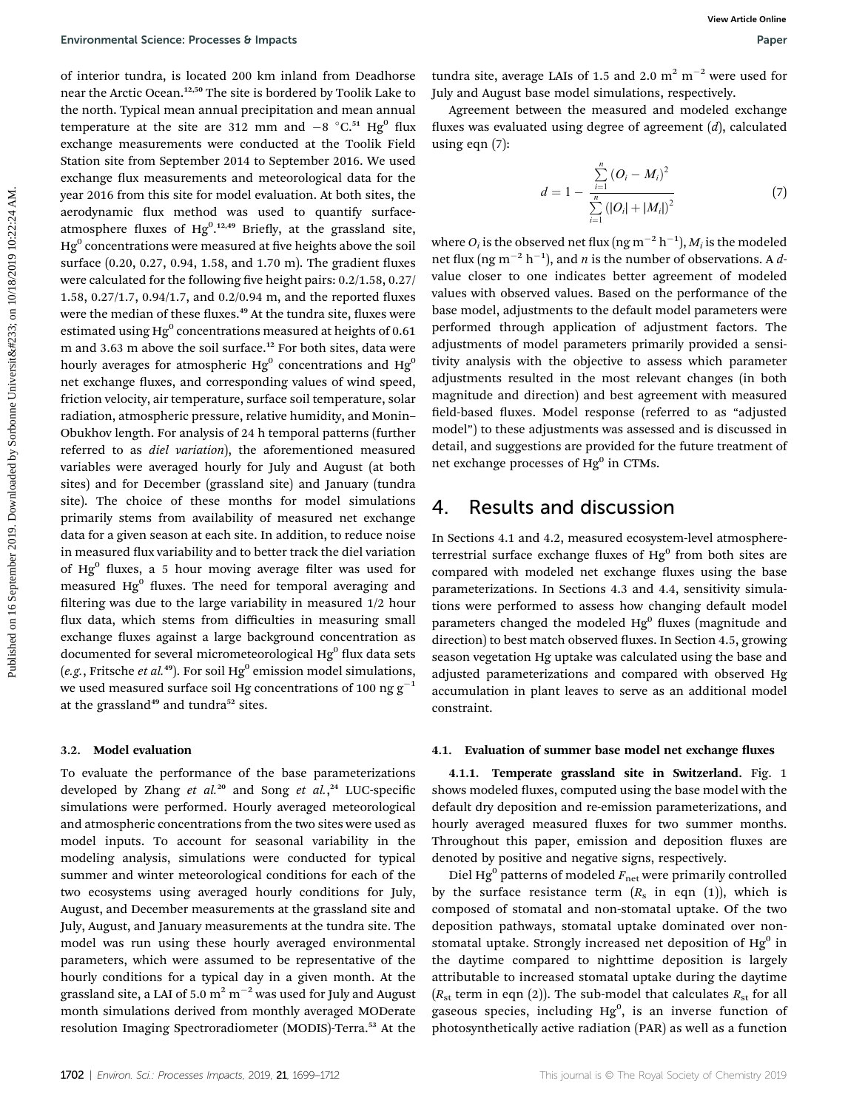of interior tundra, is located 200 km inland from Deadhorse near the Arctic Ocean.12,50 The site is bordered by Toolik Lake to the north. Typical mean annual precipitation and mean annual temperature at the site are 312 mm and  $-8$  °C.<sup>51</sup> Hg<sup>0</sup> flux exchange measurements were conducted at the Toolik Field Station site from September 2014 to September 2016. We used exchange flux measurements and meteorological data for the year 2016 from this site for model evaluation. At both sites, the aerodynamic flux method was used to quantify surfaceatmosphere fluxes of  $Hg^{0.12,49}$  Briefly, at the grassland site,  $Hg<sup>0</sup>$  concentrations were measured at five heights above the soil surface (0.20, 0.27, 0.94, 1.58, and 1.70 m). The gradient fluxes were calculated for the following five height pairs:  $0.2/1.58$ ,  $0.27/$ 1.58, 0.27/1.7, 0.94/1.7, and 0.2/0.94 m, and the reported fluxes were the median of these fluxes.<sup>49</sup> At the tundra site, fluxes were estimated using  $Hg^0$  concentrations measured at heights of 0.61 m and 3.63 m above the soil surface.<sup>12</sup> For both sites, data were hourly averages for atmospheric  $Hg^0$  concentrations and  $Hg^0$ net exchange fluxes, and corresponding values of wind speed, friction velocity, air temperature, surface soil temperature, solar radiation, atmospheric pressure, relative humidity, and Monin– Obukhov length. For analysis of 24 h temporal patterns (further referred to as diel variation), the aforementioned measured variables were averaged hourly for July and August (at both sites) and for December (grassland site) and January (tundra site). The choice of these months for model simulations primarily stems from availability of measured net exchange data for a given season at each site. In addition, to reduce noise in measured flux variability and to better track the diel variation of  $Hg^{0}$  fluxes, a 5 hour moving average filter was used for measured  $Hg<sup>0</sup>$  fluxes. The need for temporal averaging and filtering was due to the large variability in measured 1/2 hour flux data, which stems from difficulties in measuring small exchange fluxes against a large background concentration as documented for several micrometeorological  $Hg<sup>0</sup>$  flux data sets (e.g., Fritsche et al.<sup>49</sup>). For soil Hg<sup>0</sup> emission model simulations, we used measured surface soil Hg concentrations of 100 ng  $g^{-1}$ at the grassland<sup>49</sup> and tundra<sup>52</sup> sites. Environmental Science Processes 6 impacts<br>of control on the interded by could calculate to the main control on the main control on the main control on the main control on the september 2019. The main control of the main c

#### 3.2. Model evaluation

To evaluate the performance of the base parameterizations developed by Zhang et al.<sup>20</sup> and Song et al.,<sup>24</sup> LUC-specific simulations were performed. Hourly averaged meteorological and atmospheric concentrations from the two sites were used as model inputs. To account for seasonal variability in the modeling analysis, simulations were conducted for typical summer and winter meteorological conditions for each of the two ecosystems using averaged hourly conditions for July, August, and December measurements at the grassland site and July, August, and January measurements at the tundra site. The model was run using these hourly averaged environmental parameters, which were assumed to be representative of the hourly conditions for a typical day in a given month. At the grassland site, a LAI of 5.0  $m^2$   $m^{-2}$  was used for July and August month simulations derived from monthly averaged MODerate resolution Imaging Spectroradiometer (MODIS)-Terra.<sup>53</sup> At the

tundra site, average LAIs of 1.5 and 2.0  $m^2$  m<sup>-2</sup> were used for July and August base model simulations, respectively.

Agreement between the measured and modeled exchange fluxes was evaluated using degree of agreement  $(d)$ , calculated using eqn (7):

$$
d = 1 - \frac{\sum_{i=1}^{n} (O_i - M_i)^2}{\sum_{i=1}^{n} (|O_i| + |M_i|)^2}
$$
(7)

where  $O_i$  is the observed net flux  $(\mathrm{ng\,m^{-2}\,h^{-1}}), M_i$  is the modeled net flux (ng m<sup>-2</sup> h<sup>-1</sup>), and *n* is the number of observations. A *d*value closer to one indicates better agreement of modeled values with observed values. Based on the performance of the base model, adjustments to the default model parameters were performed through application of adjustment factors. The adjustments of model parameters primarily provided a sensitivity analysis with the objective to assess which parameter adjustments resulted in the most relevant changes (in both magnitude and direction) and best agreement with measured field-based fluxes. Model response (referred to as "adjusted model") to these adjustments was assessed and is discussed in detail, and suggestions are provided for the future treatment of net exchange processes of Hg<sup>0</sup> in CTMs.

### 4. Results and discussion

In Sections 4.1 and 4.2, measured ecosystem-level atmosphereterrestrial surface exchange fluxes of  $Hg^0$  from both sites are compared with modeled net exchange fluxes using the base parameterizations. In Sections 4.3 and 4.4, sensitivity simulations were performed to assess how changing default model parameters changed the modeled Hg<sup>0</sup> fluxes (magnitude and direction) to best match observed fluxes. In Section 4.5, growing season vegetation Hg uptake was calculated using the base and adjusted parameterizations and compared with observed Hg accumulation in plant leaves to serve as an additional model constraint.

#### 4.1. Evaluation of summer base model net exchange fluxes

4.1.1. Temperate grassland site in Switzerland. Fig. 1 shows modeled fluxes, computed using the base model with the default dry deposition and re-emission parameterizations, and hourly averaged measured fluxes for two summer months. Throughout this paper, emission and deposition fluxes are denoted by positive and negative signs, respectively.

Diel Hg<sup>0</sup> patterns of modeled  $F_{\text{net}}$  were primarily controlled by the surface resistance term  $(R_s$  in eqn (1)), which is composed of stomatal and non-stomatal uptake. Of the two deposition pathways, stomatal uptake dominated over nonstomatal uptake. Strongly increased net deposition of  $Hg^0$  in the daytime compared to nighttime deposition is largely attributable to increased stomatal uptake during the daytime  $(R<sub>st</sub>$  term in eqn (2)). The sub-model that calculates  $R<sub>st</sub>$  for all gaseous species, including Hg<sup>0</sup>, is an inverse function of photosynthetically active radiation (PAR) as well as a function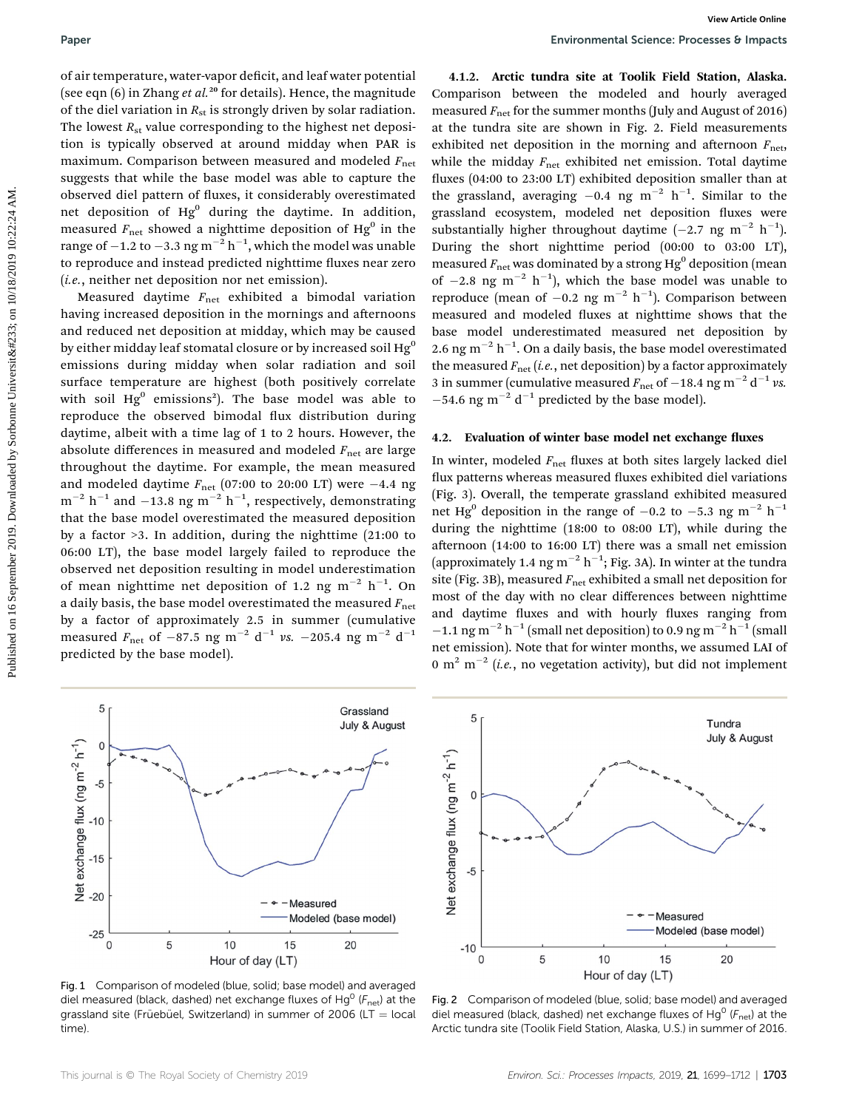of air temperature, water-vapor deficit, and leaf water potential (see eqn  $(6)$  in Zhang *et al.*<sup>20</sup> for details). Hence, the magnitude of the diel variation in  $R_{st}$  is strongly driven by solar radiation. The lowest  $R_{st}$  value corresponding to the highest net deposition is typically observed at around midday when PAR is maximum. Comparison between measured and modeled  $F_{\text{net}}$ suggests that while the base model was able to capture the observed diel pattern of fluxes, it considerably overestimated net deposition of Hg<sup>0</sup> during the daytime. In addition, measured  $F_{\text{net}}$  showed a nighttime deposition of Hg<sup>0</sup> in the range of  $-1.2$  to  $-3.3$  ng  $m^{-2}$   $h^{-1}$ , which the model was unable to reproduce and instead predicted nighttime fluxes near zero (i.e., neither net deposition nor net emission).

Measured daytime  $F_{\text{net}}$  exhibited a bimodal variation having increased deposition in the mornings and afternoons and reduced net deposition at midday, which may be caused by either midday leaf stomatal closure or by increased soil  $He<sup>0</sup>$ emissions during midday when solar radiation and soil surface temperature are highest (both positively correlate with soil  $Hg^0$  emissions<sup>2</sup>). The base model was able to reproduce the observed bimodal flux distribution during daytime, albeit with a time lag of 1 to 2 hours. However, the absolute differences in measured and modeled  $F_{\text{net}}$  are large throughout the daytime. For example, the mean measured and modeled daytime  $F_{\text{net}}$  (07:00 to 20:00 LT) were -4.4 ng  $\text{m}^{-2}$  h<sup>-1</sup> and -13.8 ng m<sup>-2</sup> h<sup>-1</sup>, respectively, demonstrating that the base model overestimated the measured deposition by a factor >3. In addition, during the nighttime (21:00 to 06:00 LT), the base model largely failed to reproduce the observed net deposition resulting in model underestimation of mean nighttime net deposition of 1.2 ng m $^{-2}$  h $^{-1}$ . On a daily basis, the base model overestimated the measured  $F_{\text{net}}$ by a factor of approximately 2.5 in summer (cumulative measured  $F_{\text{net}}$  of -87.5 ng m<sup>-2</sup> d<sup>-1</sup> vs. -205.4 ng m<sup>-2</sup> d<sup>-1</sup> predicted by the base model). **Puer controllers on 16** September 2019. The controllers in the two september 2019. In the controller in the two september 2019. The controllers of the controller in the two september 2019. The bowest  $R_{\text{eff}}$  with contr

4.1.2. Arctic tundra site at Toolik Field Station, Alaska. Comparison between the modeled and hourly averaged measured  $F_{\text{net}}$  for the summer months (July and August of 2016) at the tundra site are shown in Fig. 2. Field measurements exhibited net deposition in the morning and afternoon  $F_{\text{net}}$ , while the midday  $F_{\text{net}}$  exhibited net emission. Total daytime fluxes (04:00 to 23:00 LT) exhibited deposition smaller than at the grassland, averaging  $-0.4$  ng m<sup>-2</sup> h<sup>-1</sup>. Similar to the grassland ecosystem, modeled net deposition fluxes were substantially higher throughout daytime  $(-2.7 \text{ ng m}^{-2} \text{ h}^{-1})$ . During the short nighttime period (00:00 to 03:00 LT), measured  $F_{\text{net}}$  was dominated by a strong Hg<sup>0</sup> deposition (mean of  $-2.8$  ng m<sup>-2</sup> h<sup>-1</sup>), which the base model was unable to reproduce (mean of  $-0.2$  ng m<sup>-2</sup> h<sup>-1</sup>). Comparison between measured and modeled fluxes at nighttime shows that the base model underestimated measured net deposition by 2.6 ng m<sup>-2</sup> h<sup>-1</sup>. On a daily basis, the base model overestimated the measured  $F_{\text{net}}$  (i.e., net deposition) by a factor approximately 3 in summer (cumulative measured  $F_{\text{net}}$  of  $-18.4$  ng m<sup>-2</sup> d<sup>-1</sup> vs.  $-54.6$  ng m<sup>-2</sup> d<sup>-1</sup> predicted by the base model).

#### 4.2. Evaluation of winter base model net exchange fluxes

In winter, modeled  $F_{\text{net}}$  fluxes at both sites largely lacked diel flux patterns whereas measured fluxes exhibited diel variations (Fig. 3). Overall, the temperate grassland exhibited measured net Hg<sup>0</sup> deposition in the range of  $-0.2$  to  $-5.3$  ng m<sup>-2</sup> h<sup>-1</sup> during the nighttime (18:00 to 08:00 LT), while during the afternoon  $(14:00 \text{ to } 16:00 \text{ LT})$  there was a small net emission (approximately 1.4 ng m $^{-2}$  h $^{-1}$ ; Fig. 3A). In winter at the tundra site (Fig. 3B), measured  $F_{\text{net}}$  exhibited a small net deposition for most of the day with no clear differences between nighttime and daytime fluxes and with hourly fluxes ranging from  $-1.1$  ng m<sup>-2</sup> h<sup>-1</sup> (small net deposition) to 0.9 ng m<sup>-2</sup> h<sup>-1</sup> (small net emission). Note that for winter months, we assumed LAI of 0 m<sup>2</sup> m<sup>-2</sup> (*i.e.*, no vegetation activity), but did not implement



Fig. 1 Comparison of modeled (blue, solid; base model) and averaged diel measured (black, dashed) net exchange fluxes of Hg<sup>0</sup> ( $F_{\text{net}}$ ) at the grassland site (Früebüel, Switzerland) in summer of 2006 (LT  $=$  local time).



Fig. 2 Comparison of modeled (blue, solid; base model) and averaged diel measured (black, dashed) net exchange fluxes of Hg<sup>0</sup> ( $F_{\text{net}}$ ) at the Arctic tundra site (Toolik Field Station, Alaska, U.S.) in summer of 2016.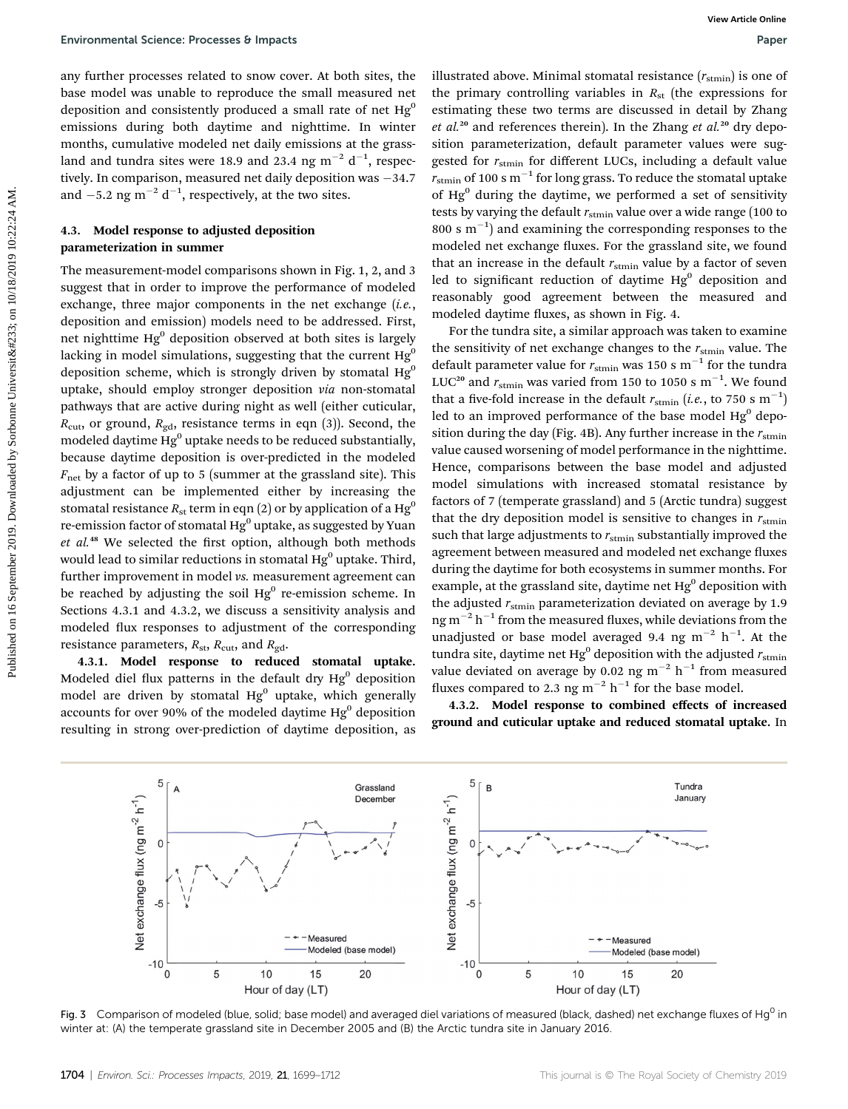any further processes related to snow cover. At both sites, the base model was unable to reproduce the small measured net deposition and consistently produced a small rate of net  $Hg^0$ emissions during both daytime and nighttime. In winter months, cumulative modeled net daily emissions at the grassland and tundra sites were 18.9 and 23.4 ng  $\mathrm{m}^{-2}$  d $^{-1}$ , respectively. In comparison, measured net daily deposition was  $-34.7$ and  $-5.2$  ng m<sup>-2</sup> d<sup>-1</sup>, respectively, at the two sites.

#### 4.3. Model response to adjusted deposition parameterization in summer

The measurement-model comparisons shown in Fig. 1, 2, and 3 suggest that in order to improve the performance of modeled exchange, three major components in the net exchange (i.e., deposition and emission) models need to be addressed. First, net nighttime  $Hg^0$  deposition observed at both sites is largely lacking in model simulations, suggesting that the current  $Hg<sup>0</sup>$ deposition scheme, which is strongly driven by stomatal  $Hg^0$ uptake, should employ stronger deposition via non-stomatal pathways that are active during night as well (either cuticular,  $R_{\text{cut}}$ , or ground,  $R_{\text{gd}}$ , resistance terms in eqn (3)). Second, the modeled daytime  $\mathrm{Hg^0}$  uptake needs to be reduced substantially, because daytime deposition is over-predicted in the modeled  $F_{\text{net}}$  by a factor of up to 5 (summer at the grassland site). This adjustment can be implemented either by increasing the stomatal resistance  $R_{\rm st}$  term in eqn (2) or by application of a Hg<sup>0</sup> re-emission factor of stomatal  $Hg^0$  uptake, as suggested by Yuan  $et$   $al.^{48}$  We selected the first option, although both methods would lead to similar reductions in stomatal  $Hg^0$  uptake. Third, further improvement in model vs. measurement agreement can be reached by adjusting the soil  $Hg^0$  re-emission scheme. In Sections 4.3.1 and 4.3.2, we discuss a sensitivity analysis and modeled flux responses to adjustment of the corresponding resistance parameters,  $R_{\text{st}}$ ,  $R_{\text{cut}}$ , and  $R_{\text{gd}}$ . Environmental Science Processes b Impacts<br>
any further processors helend on the science of the internet data published on the internet data in the science of the internet of the control of the internet of the internet of

4.3.1. Model response to reduced stomatal uptake. Modeled diel flux patterns in the default dry  $Hg<sup>0</sup>$  deposition model are driven by stomatal  $Hg^0$  uptake, which generally accounts for over 90% of the modeled daytime  $Hg^0$  deposition resulting in strong over-prediction of daytime deposition, as

illustrated above. Minimal stomatal resistance  $(r_{\text{stmin}})$  is one of the primary controlling variables in  $R_{st}$  (the expressions for estimating these two terms are discussed in detail by Zhang et al.<sup>20</sup> and references therein). In the Zhang et al.<sup>20</sup> dry deposition parameterization, default parameter values were suggested for  $r_{\text{stmin}}$  for different LUCs, including a default value  $r_{\text{stmin}}$  of 100 s m<sup>-1</sup> for long grass. To reduce the stomatal uptake of  $Hg^0$  during the daytime, we performed a set of sensitivity tests by varying the default  $r_{\text{stmin}}$  value over a wide range (100 to  $800 \text{ s m}^{-1}$ ) and examining the corresponding responses to the modeled net exchange fluxes. For the grassland site, we found that an increase in the default  $r_{\text{stmin}}$  value by a factor of seven led to significant reduction of daytime  $Hg^0$  deposition and reasonably good agreement between the measured and modeled daytime fluxes, as shown in Fig. 4.

For the tundra site, a similar approach was taken to examine the sensitivity of net exchange changes to the  $r_{\text{stmin}}$  value. The default parameter value for  $r_{\text{stmin}}$  was 150 s m<sup>-1</sup> for the tundra LUC<sup>20</sup> and  $r_{\text{stmin}}$  was varied from 150 to 1050 s m<sup>-1</sup>. We found that a five-fold increase in the default  $r_{\text{stmin}}$  (*i.e.*, to 750 s  $\text{m}^{-1}$ ) led to an improved performance of the base model  $Hg^0$  deposition during the day (Fig. 4B). Any further increase in the  $r_{\text{stmin}}$ value caused worsening of model performance in the nighttime. Hence, comparisons between the base model and adjusted model simulations with increased stomatal resistance by factors of 7 (temperate grassland) and 5 (Arctic tundra) suggest that the dry deposition model is sensitive to changes in  $r_{\text{stmin}}$ such that large adjustments to  $r_{\text{stim}}$  substantially improved the agreement between measured and modeled net exchange fluxes during the daytime for both ecosystems in summer months. For example, at the grassland site, daytime net  $Hg<sup>0</sup>$  deposition with the adjusted  $r_{\text{stmin}}$  parameterization deviated on average by 1.9 ng  $m^{-2}$  h<sup>-1</sup> from the measured fluxes, while deviations from the unadjusted or base model averaged 9.4 ng  $m^{-2}$   $h^{-1}$ . At the tundra site, daytime net Hg<sup>0</sup> deposition with the adjusted  $r_{\text{stmin}}$ value deviated on average by 0.02 ng  $m^{-2}$  h<sup>-1</sup> from measured fluxes compared to 2.3 ng  $m^{-2}$  h<sup>-1</sup> for the base model.

4.3.2. Model response to combined effects of increased ground and cuticular uptake and reduced stomatal uptake. In



Fig. 3 Comparison of modeled (blue, solid; base model) and averaged diel variations of measured (black, dashed) net exchange fluxes of Hg<sup>0</sup> in winter at: (A) the temperate grassland site in December 2005 and (B) the Arctic tundra site in January 2016.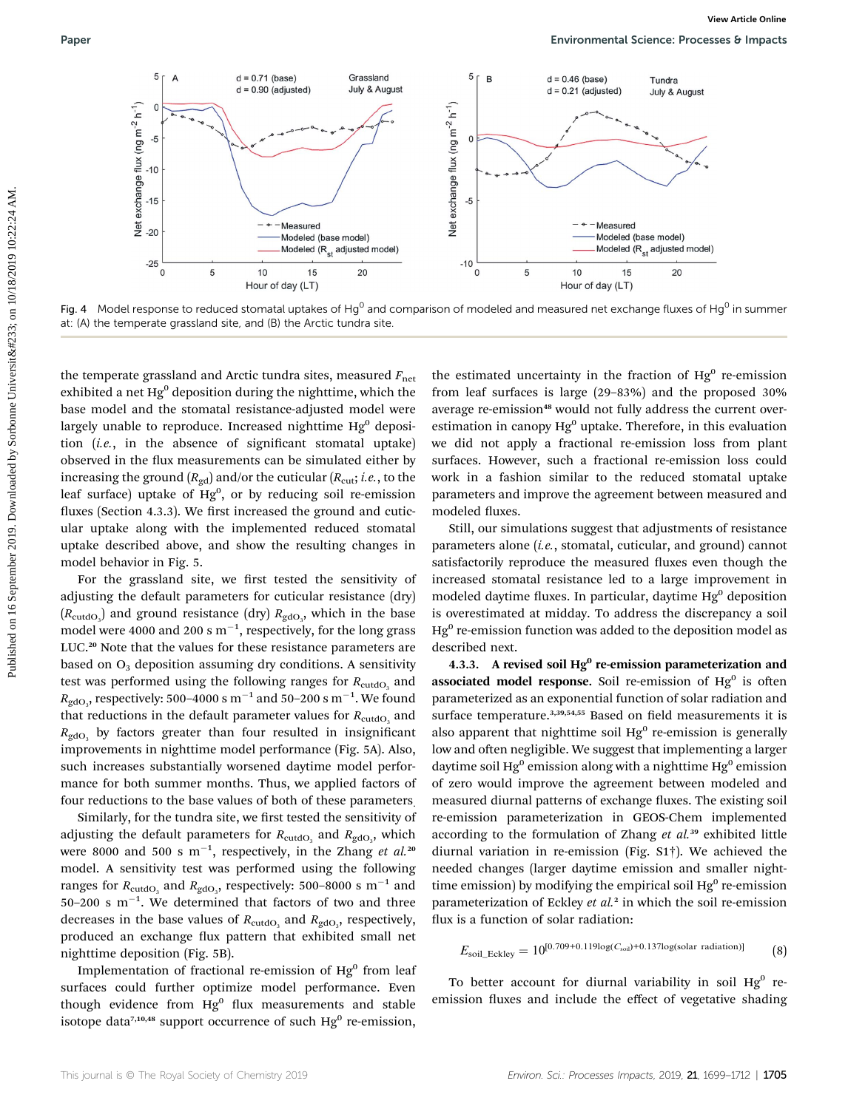

Fig. 4 Model response to reduced stomatal uptakes of Hg<sup>0</sup> and comparison of modeled and measured net exchange fluxes of Hg<sup>0</sup> in summer at: (A) the temperate grassland site, and (B) the Arctic tundra site.

the temperate grassland and Arctic tundra sites, measured  $F_{\text{net}}$ exhibited a net  $Hg^0$  deposition during the nighttime, which the base model and the stomatal resistance-adjusted model were largely unable to reproduce. Increased nighttime  $Hg^0$  deposition  $(i.e.,$  in the absence of significant stomatal uptake) observed in the flux measurements can be simulated either by increasing the ground  $(R_{gd})$  and/or the cuticular  $(R_{cut}; i.e.,$  to the leaf surface) uptake of  $Hg^0$ , or by reducing soil re-emission fluxes (Section 4.3.3). We first increased the ground and cuticular uptake along with the implemented reduced stomatal uptake described above, and show the resulting changes in model behavior in Fig. 5.

For the grassland site, we first tested the sensitivity of adjusting the default parameters for cuticular resistance (dry)  $(R_{\mathrm{cutoff}})$  and ground resistance (dry)  $R_{\mathrm{gdO}_3}$ , which in the base model were 4000 and 200 s  $\mathrm{m}^{-1},$  respectively, for the long grass LUC.<sup>20</sup> Note that the values for these resistance parameters are based on  $O<sub>3</sub>$  deposition assuming dry conditions. A sensitivity test was performed using the following ranges for  $R_{\text{cutoff}}$  and  $R_{\rm gdO_3}$ , respectively: 500–4000 s  $\rm m^{-1}$  and 50–200 s  $\rm m^{-1}.$  We found that reductions in the default parameter values for  $R_{\text{cutoff}}$  and  $R_{\rm{gdo}}$ , by factors greater than four resulted in insignificant improvements in nighttime model performance (Fig. 5A). Also, such increases substantially worsened daytime model performance for both summer months. Thus, we applied factors of four reductions to the base values of both of these parameters.

Similarly, for the tundra site, we first tested the sensitivity of adjusting the default parameters for  $R_{\rm cutoff}$  and  $R_{\rm gdO_3}$ , which were 8000 and 500 s  $\text{m}^{-1}$ , respectively, in the Zhang *et al.*20 model. A sensitivity test was performed using the following ranges for  $R_{\text{cutoff}}$  and  $R_{\text{gdO}_3}$ , respectively: 500–8000 s  $\text{m}^{-1}$  and  $50-200$  s m<sup>-1</sup>. We determined that factors of two and three decreases in the base values of  $R_{\text{cutoff}}$  and  $R_{\text{gdO}_3}$ , respectively, produced an exchange flux pattern that exhibited small net nighttime deposition (Fig. 5B).

Implementation of fractional re-emission of  $Hg<sup>0</sup>$  from leaf surfaces could further optimize model performance. Even though evidence from  $Hg^0$  flux measurements and stable isotope data<sup>7,10,48</sup> support occurrence of such Hg<sup>0</sup> re-emission,

the estimated uncertainty in the fraction of  $Hg^{0}$  re-emission from leaf surfaces is large (29–83%) and the proposed 30% average re-emission<sup>48</sup> would not fully address the current overestimation in canopy  $Hg^0$  uptake. Therefore, in this evaluation we did not apply a fractional re-emission loss from plant surfaces. However, such a fractional re-emission loss could work in a fashion similar to the reduced stomatal uptake parameters and improve the agreement between measured and modeled fluxes.

Still, our simulations suggest that adjustments of resistance parameters alone (i.e., stomatal, cuticular, and ground) cannot satisfactorily reproduce the measured fluxes even though the increased stomatal resistance led to a large improvement in modeled daytime fluxes. In particular, daytime  $Hg<sup>0</sup>$  deposition is overestimated at midday. To address the discrepancy a soil  $Hg<sup>0</sup>$ re-emission function was added to the deposition model as described next.

4.3.3. A revised soil  $Hg^0$  re-emission parameterization and associated model response. Soil re-emission of  $Hg^0$  is often parameterized as an exponential function of solar radiation and surface temperature.<sup>3,39,54,55</sup> Based on field measurements it is also apparent that nighttime soil  $Hg^0$  re-emission is generally low and often negligible. We suggest that implementing a larger daytime soil  $Hg^0$  emission along with a nighttime  $Hg^0$  emission of zero would improve the agreement between modeled and measured diurnal patterns of exchange fluxes. The existing soil re-emission parameterization in GEOS-Chem implemented according to the formulation of Zhang et  $al$ <sup>39</sup> exhibited little diurnal variation in re-emission (Fig. S1†). We achieved the needed changes (larger daytime emission and smaller nighttime emission) by modifying the empirical soil  $Hg<sup>0</sup>$  re-emission parameterization of Eckley et al.<sup>2</sup> in which the soil re-emission flux is a function of solar radiation:

$$
E_{\text{soil\_Eckley}} = 10^{[0.709+0.119\log(C_{\text{soil}})+0.137\log(\text{solar radiation})]} \tag{8}
$$

To better account for diurnal variability in soil  $Hg^0$  reemission fluxes and include the effect of vegetative shading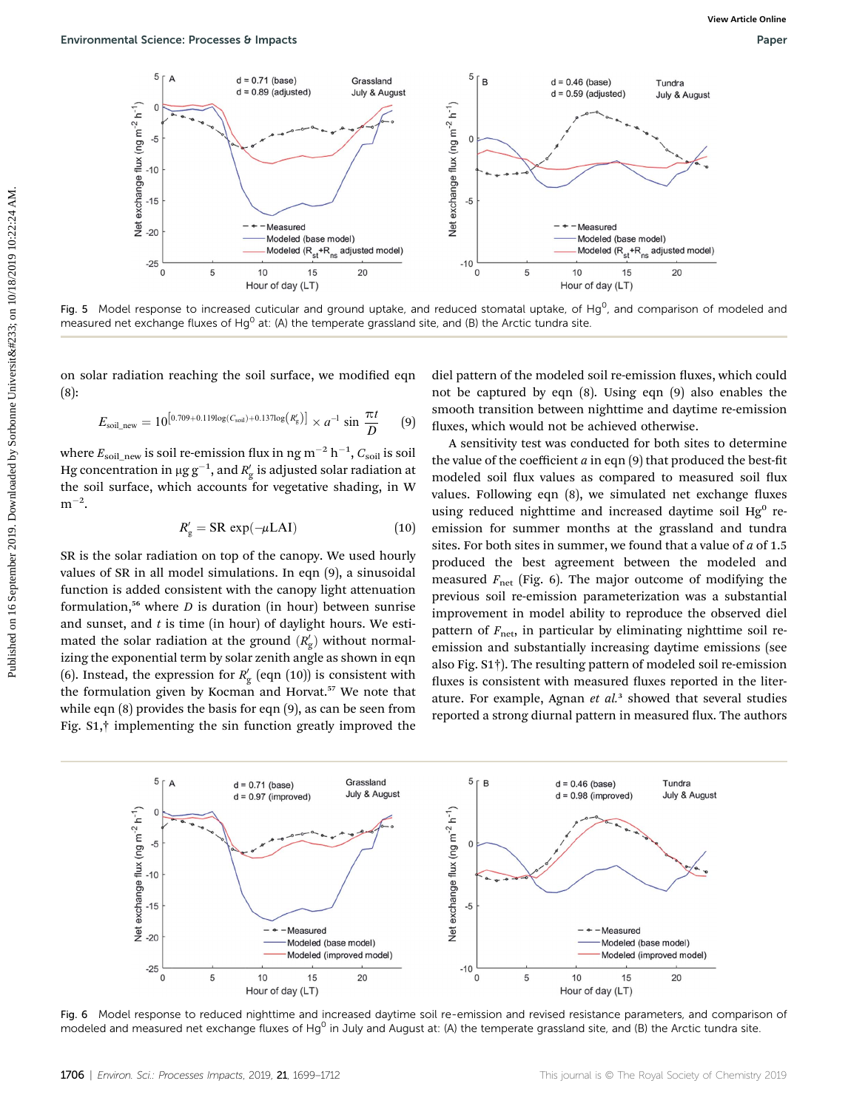

Fig. 5 Model response to increased cuticular and ground uptake, and reduced stomatal uptake, of Hg<sup>0</sup>, and comparison of modeled and measured net exchange fluxes of Hg<sup>0</sup> at: (A) the temperate grassland site, and (B) the Arctic tundra site.

on solar radiation reaching the soil surface, we modified eqn (8):

$$
E_{\text{soil\_new}} = 10^{[0.709 + 0.119 \log(C_{\text{soil}}) + 0.137 \log(R_{\text{g}}')]}\times a^{-1} \sin \frac{\pi t}{D} \qquad (9)
$$

where  $E_{\rm soil\_new}$  is soil re-emission flux in ng m $^{-2}$  h $^{-1},$   $C_{\rm soil}$  is soil Hg concentration in  $\mu$ g g $^{-1}$ , and  $R_{\rm g}^\prime$  is adjusted solar radiation at the soil surface, which accounts for vegetative shading, in W  $m^{-2}$ .

$$
R'_{g} = \text{SR} \, \exp(-\mu \text{LAI}) \tag{10}
$$

SR is the solar radiation on top of the canopy. We used hourly values of SR in all model simulations. In eqn (9), a sinusoidal function is added consistent with the canopy light attenuation formulation,<sup>56</sup> where  $D$  is duration (in hour) between sunrise and sunset, and  $t$  is time (in hour) of daylight hours. We estimated the solar radiation at the ground  $(R_{\rm g}^{\prime})$  without normalizing the exponential term by solar zenith angle as shown in eqn (6). Instead, the expression for  $R_g'$  (eqn (10)) is consistent with the formulation given by Kocman and Horvat.<sup>57</sup> We note that while eqn (8) provides the basis for eqn (9), as can be seen from Fig. S1,† implementing the sin function greatly improved the

diel pattern of the modeled soil re-emission fluxes, which could not be captured by eqn (8). Using eqn (9) also enables the smooth transition between nighttime and daytime re-emission fluxes, which would not be achieved otherwise.

A sensitivity test was conducted for both sites to determine the value of the coefficient  $a$  in eqn  $(9)$  that produced the best-fit modeled soil flux values as compared to measured soil flux values. Following eqn  $(8)$ , we simulated net exchange fluxes using reduced nighttime and increased daytime soil  $Hg^0$  reemission for summer months at the grassland and tundra sites. For both sites in summer, we found that a value of  $a$  of 1.5 produced the best agreement between the modeled and measured  $F_{\text{net}}$  (Fig. 6). The major outcome of modifying the previous soil re-emission parameterization was a substantial improvement in model ability to reproduce the observed diel pattern of  $F_{\text{net}}$ , in particular by eliminating nighttime soil reemission and substantially increasing daytime emissions (see also Fig. S1†). The resulting pattern of modeled soil re-emission fluxes is consistent with measured fluxes reported in the literature. For example, Agnan  $et$   $al.^3$  showed that several studies reported a strong diurnal pattern in measured flux. The authors



Fig. 6 Model response to reduced nighttime and increased daytime soil re-emission and revised resistance parameters, and comparison of modeled and measured net exchange fluxes of Hg<sup>0</sup> in July and August at: (A) the temperate grassland site, and (B) the Arctic tundra site.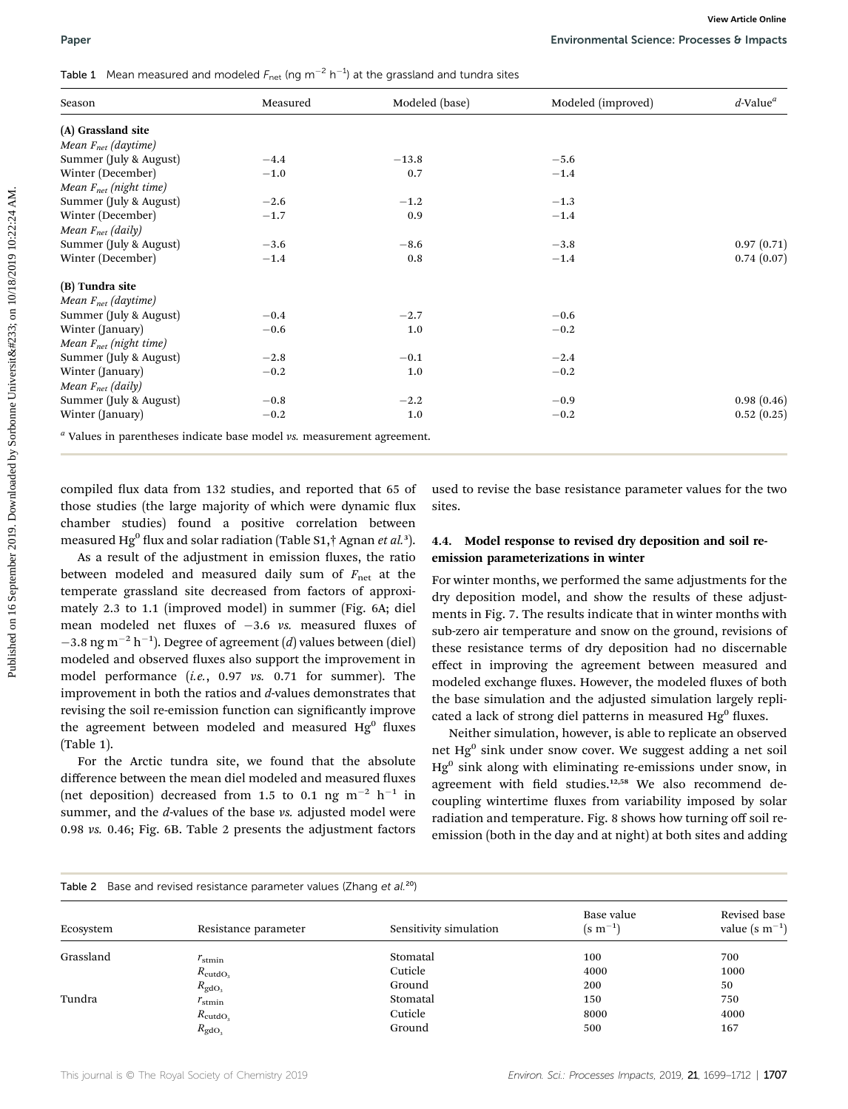## **Table 1** Mean measured and modeled  $F_{\text{net}}$  (ng m<sup>-2</sup> h<sup>-1</sup>) at the grassland and tundra sites

| Season                                                                                                                                                                                                                                                                                                                                                             | Measured         |               | Modeled (improved)<br>Modeled (base)                                                                                                                                                                                                                                                                                            | $d$ -Value <sup>a</sup> |  |
|--------------------------------------------------------------------------------------------------------------------------------------------------------------------------------------------------------------------------------------------------------------------------------------------------------------------------------------------------------------------|------------------|---------------|---------------------------------------------------------------------------------------------------------------------------------------------------------------------------------------------------------------------------------------------------------------------------------------------------------------------------------|-------------------------|--|
| (A) Grassland site                                                                                                                                                                                                                                                                                                                                                 |                  |               |                                                                                                                                                                                                                                                                                                                                 |                         |  |
| Mean $F_{net}$ (daytime)                                                                                                                                                                                                                                                                                                                                           |                  |               |                                                                                                                                                                                                                                                                                                                                 |                         |  |
| Summer (July & August)                                                                                                                                                                                                                                                                                                                                             | $-4.4$           | $-13.8$       | $-5.6$                                                                                                                                                                                                                                                                                                                          |                         |  |
| Winter (December)                                                                                                                                                                                                                                                                                                                                                  | $-1.0$           | 0.7           | $-1.4$                                                                                                                                                                                                                                                                                                                          |                         |  |
| Mean $F_{net}$ (night time)                                                                                                                                                                                                                                                                                                                                        |                  |               |                                                                                                                                                                                                                                                                                                                                 |                         |  |
| Summer (July & August)<br>Winter (December)                                                                                                                                                                                                                                                                                                                        | $-2.6$<br>$-1.7$ | $-1.2$<br>0.9 | $-1.3$                                                                                                                                                                                                                                                                                                                          |                         |  |
| Mean $F_{net}$ (daily)                                                                                                                                                                                                                                                                                                                                             |                  |               | $-1.4$                                                                                                                                                                                                                                                                                                                          |                         |  |
| Summer (July & August)                                                                                                                                                                                                                                                                                                                                             | $-3.6$           | $-8.6$        | $-3.8$                                                                                                                                                                                                                                                                                                                          | 0.97(0.71)              |  |
| Winter (December)                                                                                                                                                                                                                                                                                                                                                  | $-1.4$           | 0.8           | $-1.4$                                                                                                                                                                                                                                                                                                                          | 0.74(0.07)              |  |
|                                                                                                                                                                                                                                                                                                                                                                    |                  |               |                                                                                                                                                                                                                                                                                                                                 |                         |  |
| (B) Tundra site                                                                                                                                                                                                                                                                                                                                                    |                  |               |                                                                                                                                                                                                                                                                                                                                 |                         |  |
| Mean F <sub>net</sub> (daytime)                                                                                                                                                                                                                                                                                                                                    |                  |               |                                                                                                                                                                                                                                                                                                                                 |                         |  |
| Summer (July & August)                                                                                                                                                                                                                                                                                                                                             | $-0.4$           | $-2.7$        | $-0.6$                                                                                                                                                                                                                                                                                                                          |                         |  |
| Winter (January)                                                                                                                                                                                                                                                                                                                                                   | $-0.6$           | 1.0           | $-0.2$                                                                                                                                                                                                                                                                                                                          |                         |  |
| Mean Fnet (night time)                                                                                                                                                                                                                                                                                                                                             |                  |               |                                                                                                                                                                                                                                                                                                                                 |                         |  |
| Summer (July & August)                                                                                                                                                                                                                                                                                                                                             | $-2.8$           | $-0.1$        | $-2.4$                                                                                                                                                                                                                                                                                                                          |                         |  |
| Winter (January)                                                                                                                                                                                                                                                                                                                                                   | $-0.2$           | 1.0           | $-0.2$                                                                                                                                                                                                                                                                                                                          |                         |  |
| Mean $F_{net}$ (daily)                                                                                                                                                                                                                                                                                                                                             |                  |               |                                                                                                                                                                                                                                                                                                                                 |                         |  |
| Summer (July & August)                                                                                                                                                                                                                                                                                                                                             | $-0.8$           | $^{-2.2}$     | $-0.9$                                                                                                                                                                                                                                                                                                                          | 0.98(0.46)              |  |
| Winter (January)                                                                                                                                                                                                                                                                                                                                                   | $-0.2$           | 1.0           | $-0.2$                                                                                                                                                                                                                                                                                                                          | 0.52(0.25)              |  |
| <sup>a</sup> Values in parentheses indicate base model vs. measurement agreement.<br>compiled flux data from 132 studies, and reported that 65 of<br>those studies (the large majority of which were dynamic flux                                                                                                                                                  |                  |               | used to revise the base resistance parameter values for the two<br>sites.                                                                                                                                                                                                                                                       |                         |  |
| chamber studies) found a positive correlation between                                                                                                                                                                                                                                                                                                              |                  |               |                                                                                                                                                                                                                                                                                                                                 |                         |  |
| measured Hg <sup>0</sup> flux and solar radiation (Table S1,† Agnan et al. <sup>3</sup> ).<br>As a result of the adjustment in emission fluxes, the ratio                                                                                                                                                                                                          |                  |               | 4.4. Model response to revised dry deposition and soil re-<br>emission parameterizations in winter                                                                                                                                                                                                                              |                         |  |
| between modeled and measured daily sum of $F_{\text{net}}$ at the<br>temperate grassland site decreased from factors of approxi-<br>mately 2.3 to 1.1 (improved model) in summer (Fig. 6A; diel<br>mean modeled net fluxes of $-3.6$ vs. measured fluxes of<br>$-3.8$ ng m <sup>-2</sup> h <sup>-1</sup> ). Degree of agreement ( <i>d</i> ) values between (diel) |                  |               | For winter months, we performed the same adjustments for the<br>dry deposition model, and show the results of these adjust-<br>ments in Fig. 7. The results indicate that in winter months with<br>sub-zero air temperature and snow on the ground, revisions of<br>these resistance terms of dry deposition had no discernable |                         |  |

As a result of the adjustment in emission fluxes, the ratio between modeled and measured daily sum of  $F_{\text{net}}$  at the temperate grassland site decreased from factors of approximately 2.3 to 1.1 (improved model) in summer (Fig. 6A; diel mean modeled net fluxes of  $-3.6$  vs. measured fluxes of  $-3.8$  ng m<sup>-2</sup> h<sup>-1</sup>). Degree of agreement (*d*) values between (diel) modeled and observed fluxes also support the improvement in model performance (i.e., 0.97 vs. 0.71 for summer). The improvement in both the ratios and d-values demonstrates that revising the soil re-emission function can significantly improve the agreement between modeled and measured  $Hg^{0}$  fluxes (Table 1).

For the Arctic tundra site, we found that the absolute difference between the mean diel modeled and measured fluxes (net deposition) decreased from 1.5 to 0.1 ng  $m^{-2}$  h<sup>-1</sup> in summer, and the *d*-values of the base *vs.* adjusted model were 0.98 vs. 0.46; Fig. 6B. Table 2 presents the adjustment factors

#### 4.4. Model response to revised dry deposition and soil reemission parameterizations in winter

For winter months, we performed the same adjustments for the dry deposition model, and show the results of these adjustments in Fig. 7. The results indicate that in winter months with sub-zero air temperature and snow on the ground, revisions of these resistance terms of dry deposition had no discernable effect in improving the agreement between measured and modeled exchange fluxes. However, the modeled fluxes of both the base simulation and the adjusted simulation largely replicated a lack of strong diel patterns in measured  $Hg<sup>0</sup>$  fluxes.

Neither simulation, however, is able to replicate an observed net Hg<sup>0</sup> sink under snow cover. We suggest adding a net soil  $Hg<sup>0</sup>$  sink along with eliminating re-emissions under snow, in agreement with field studies.<sup>12,58</sup> We also recommend decoupling wintertime fluxes from variability imposed by solar radiation and temperature. Fig. 8 shows how turning off soil reemission (both in the day and at night) at both sites and adding

| Table 2 Base and revised resistance parameter values (Zhang et al. <sup>20</sup> ) |                      |                        |                               |                                     |  |  |  |
|------------------------------------------------------------------------------------|----------------------|------------------------|-------------------------------|-------------------------------------|--|--|--|
| Ecosystem                                                                          | Resistance parameter | Sensitivity simulation | Base value<br>$(s \; m^{-1})$ | Revised base<br>value (s $m^{-1}$ ) |  |  |  |
| Grassland                                                                          | $r_{\text{stmin}}$   | Stomatal               | 100                           | 700                                 |  |  |  |
|                                                                                    | $R_{\text{cutoff}}$  | Cuticle                | 4000                          | 1000                                |  |  |  |
|                                                                                    | $R_{\rm gdO_3}$      | Ground                 | 200                           | 50                                  |  |  |  |
| Tundra                                                                             | $r_{\text{stmin}}$   | Stomatal               | 150                           | 750                                 |  |  |  |
|                                                                                    | $R_{\text{cutoff}}$  | Cuticle                | 8000                          | 4000                                |  |  |  |
|                                                                                    | $R_{\rm gdO2$        | Ground                 | 500                           | 167                                 |  |  |  |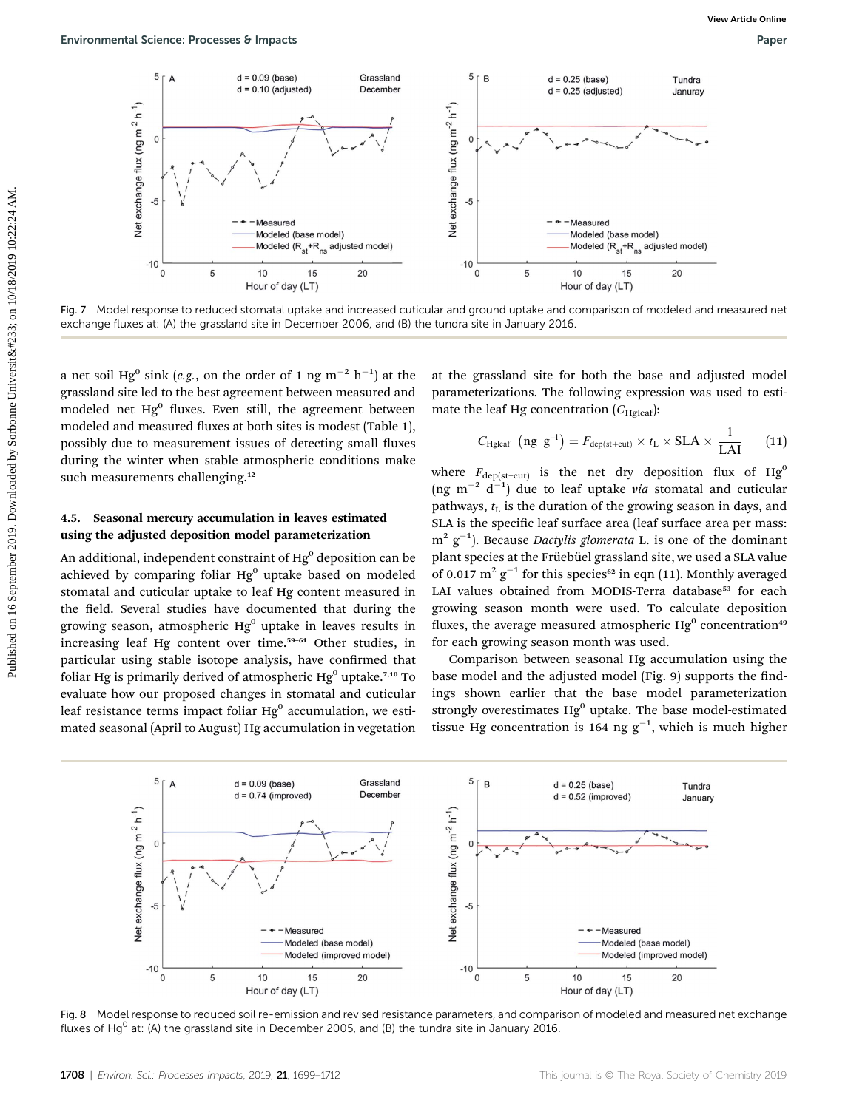

Fig. 7 Model response to reduced stomatal uptake and increased cuticular and ground uptake and comparison of modeled and measured net exchange fluxes at: (A) the grassland site in December 2006, and (B) the tundra site in January 2016.

a net soil Hg $^0$  sink (e.g., on the order of 1 ng m $^{-2}$  h $^{-1})$  at the grassland site led to the best agreement between measured and modeled net  $Hg^0$  fluxes. Even still, the agreement between modeled and measured fluxes at both sites is modest (Table 1), possibly due to measurement issues of detecting small fluxes during the winter when stable atmospheric conditions make such measurements challenging.<sup>12</sup>

#### 4.5. Seasonal mercury accumulation in leaves estimated using the adjusted deposition model parameterization

An additional, independent constraint of  $Hg<sup>0</sup>$  deposition can be achieved by comparing foliar  $Hg^0$  uptake based on modeled stomatal and cuticular uptake to leaf Hg content measured in the field. Several studies have documented that during the growing season, atmospheric  $Hg^0$  uptake in leaves results in increasing leaf Hg content over time.<sup>59-61</sup> Other studies, in particular using stable isotope analysis, have confirmed that foliar Hg is primarily derived of atmospheric  $Hg^0$  uptake.<sup>7,10</sup> To evaluate how our proposed changes in stomatal and cuticular leaf resistance terms impact foliar  $Hg<sup>0</sup>$  accumulation, we estimated seasonal (April to August) Hg accumulation in vegetation

at the grassland site for both the base and adjusted model parameterizations. The following expression was used to estimate the leaf Hg concentration  $(C_{\text{Holeaf}})$ :

$$
C_{\text{Hgleaf}} \text{ (ng } g^{-1}\text{)} = F_{\text{dep(st+cut)}} \times t_{\text{L}} \times \text{SLA} \times \frac{1}{\text{LAI}} \quad (11)
$$

where  $F_{\text{dep(st+cut)}}$  is the net dry deposition flux of  $Hg^0$ (ng m<sup>-2</sup> d<sup>-1</sup>) due to leaf uptake via stomatal and cuticular pathways,  $t_{\rm L}$  is the duration of the growing season in days, and SLA is the specific leaf surface area (leaf surface area per mass:  $m^2$   $g^{-1}$ ). Because *Dactylis glomerata* L. is one of the dominant plant species at the Früebüel grassland site, we used a SLA value of 0.017  $m^2$  g<sup>-1</sup> for this species<sup>62</sup> in eqn (11). Monthly averaged LAI values obtained from MODIS-Terra database<sup>53</sup> for each growing season month were used. To calculate deposition fluxes, the average measured atmospheric  $He<sup>0</sup>$  concentration<sup>49</sup> for each growing season month was used.

Comparison between seasonal Hg accumulation using the base model and the adjusted model (Fig. 9) supports the findings shown earlier that the base model parameterization strongly overestimates  $Hg^0$  uptake. The base model-estimated tissue Hg concentration is 164 ng  $g^{-1}$ , which is much higher



Fig. 8 Model response to reduced soil re-emission and revised resistance parameters, and comparison of modeled and measured net exchange fluxes of Hg<sup>0</sup> at: (A) the grassland site in December 2005, and (B) the tundra site in January 2016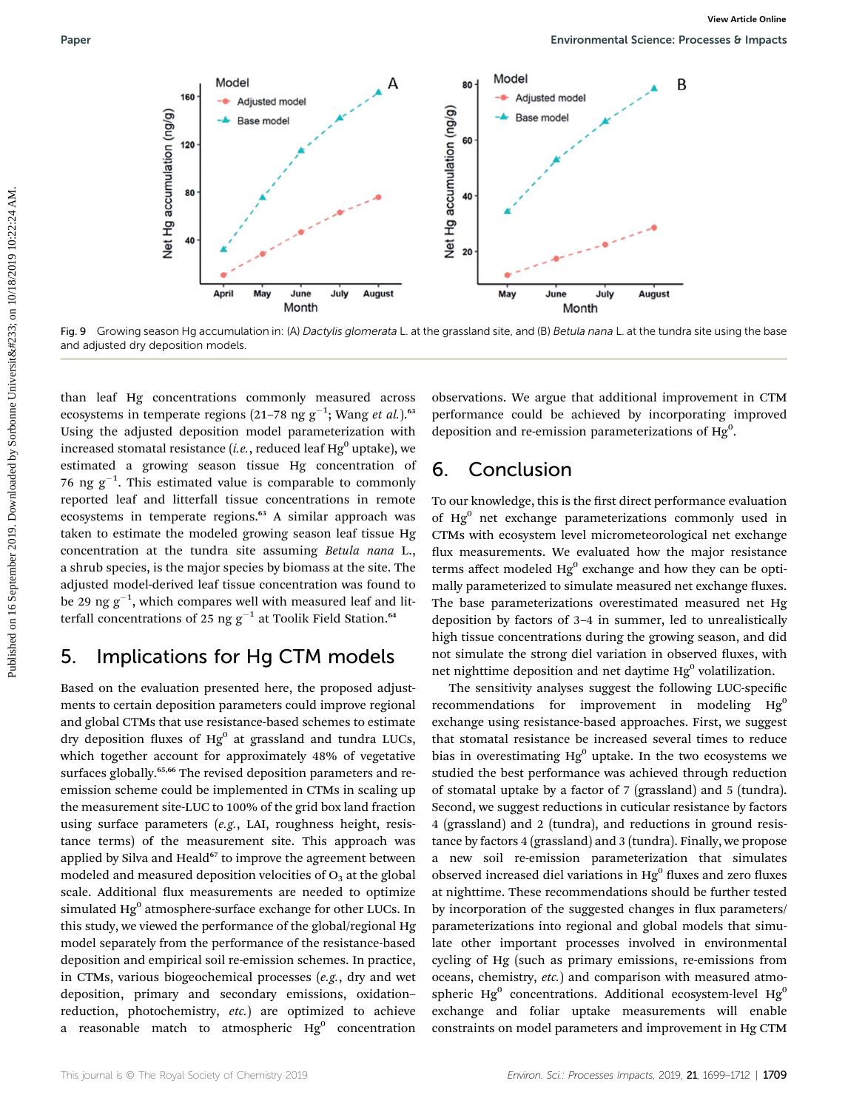

Fig. 9 Growing season Hg accumulation in: (A) Dactylis glomerata L. at the grassland site, and (B) Betula nana L. at the tundra site using the base and adjusted dry deposition models.

than leaf Hg concentrations commonly measured across ecosystems in temperate regions (21–78 ng g<sup>-1</sup>; Wang et al.).<sup>63</sup> Using the adjusted deposition model parameterization with increased stomatal resistance (*i.e.*, reduced leaf  $Hg^0$  uptake), we estimated a growing season tissue Hg concentration of 76 ng  $g^{-1}$ . This estimated value is comparable to commonly reported leaf and litterfall tissue concentrations in remote ecosystems in temperate regions.<sup>63</sup> A similar approach was taken to estimate the modeled growing season leaf tissue Hg concentration at the tundra site assuming Betula nana L., a shrub species, is the major species by biomass at the site. The adjusted model-derived leaf tissue concentration was found to be 29 ng  $g^{-1}$ , which compares well with measured leaf and litterfall concentrations of 25 ng  $g^{-1}$  at Toolik Field Station.<sup>64</sup>

## 5. Implications for Hg CTM models

Based on the evaluation presented here, the proposed adjustments to certain deposition parameters could improve regional and global CTMs that use resistance-based schemes to estimate dry deposition fluxes of  $Hg^0$  at grassland and tundra LUCs, which together account for approximately 48% of vegetative surfaces globally.<sup>65,66</sup> The revised deposition parameters and reemission scheme could be implemented in CTMs in scaling up the measurement site-LUC to 100% of the grid box land fraction using surface parameters (e.g., LAI, roughness height, resistance terms) of the measurement site. This approach was applied by Silva and Heald<sup>67</sup> to improve the agreement between modeled and measured deposition velocities of  $O<sub>3</sub>$  at the global scale. Additional flux measurements are needed to optimize simulated Hg<sup>0</sup> atmosphere-surface exchange for other LUCs. In this study, we viewed the performance of the global/regional Hg model separately from the performance of the resistance-based deposition and empirical soil re-emission schemes. In practice, in CTMs, various biogeochemical processes (e.g., dry and wet deposition, primary and secondary emissions, oxidation– reduction, photochemistry, etc.) are optimized to achieve a reasonable match to atmospheric  $Hg^0$  concentration

observations. We argue that additional improvement in CTM performance could be achieved by incorporating improved deposition and re-emission parameterizations of  $Hg<sup>0</sup>$ .

## 6. Conclusion

To our knowledge, this is the first direct performance evaluation of Hg<sup>0</sup> net exchange parameterizations commonly used in CTMs with ecosystem level micrometeorological net exchange flux measurements. We evaluated how the major resistance terms affect modeled  $Hg^0$  exchange and how they can be optimally parameterized to simulate measured net exchange fluxes. The base parameterizations overestimated measured net Hg deposition by factors of 3–4 in summer, led to unrealistically high tissue concentrations during the growing season, and did not simulate the strong diel variation in observed fluxes, with net nighttime deposition and net daytime  $Hg^0$  volatilization.

The sensitivity analyses suggest the following LUC-specific recommendations for improvement in modeling  $Hg^0$ exchange using resistance-based approaches. First, we suggest that stomatal resistance be increased several times to reduce bias in overestimating  $Hg^0$  uptake. In the two ecosystems we studied the best performance was achieved through reduction of stomatal uptake by a factor of 7 (grassland) and 5 (tundra). Second, we suggest reductions in cuticular resistance by factors 4 (grassland) and 2 (tundra), and reductions in ground resistance by factors 4 (grassland) and 3 (tundra). Finally, we propose a new soil re-emission parameterization that simulates observed increased diel variations in  $Hg<sup>0</sup>$  fluxes and zero fluxes at nighttime. These recommendations should be further tested by incorporation of the suggested changes in flux parameters/ parameterizations into regional and global models that simulate other important processes involved in environmental cycling of Hg (such as primary emissions, re-emissions from oceans, chemistry, etc.) and comparison with measured atmospheric  $Hg^0$  concentrations. Additional ecosystem-level  $Hg^0$ exchange and foliar uptake measurements will enable constraints on model parameters and improvement in Hg CTM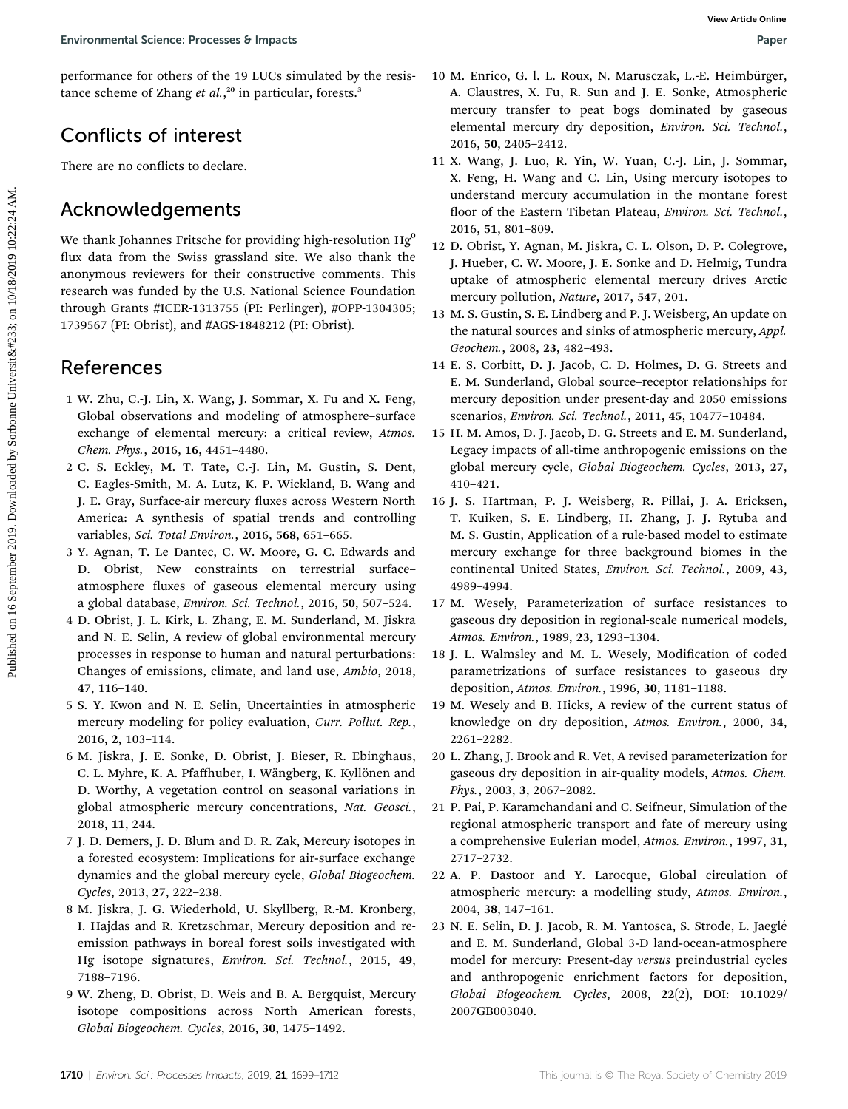performance for others of the 19 LUCs simulated by the resistance scheme of Zhang et al.,<sup>20</sup> in particular, forests.<sup>3</sup>

## Conflicts of interest

There are no conflicts to declare.

### Acknowledgements

We thank Johannes Fritsche for providing high-resolution  $Hg^0$ flux data from the Swiss grassland site. We also thank the anonymous reviewers for their constructive comments. This research was funded by the U.S. National Science Foundation through Grants #ICER-1313755 (PI: Perlinger), #OPP-1304305; 1739567 (PI: Obrist), and #AGS-1848212 (PI: Obrist). Environmental Science Processes & Images<br>
performance for cheres, of the 19/11Cs simulated by the resistant Mariners 5. A. In the Norman Mariners of the New York Science of Change of all 2019. Conflicts of interests of the

### References

- 1 W. Zhu, C.-J. Lin, X. Wang, J. Sommar, X. Fu and X. Feng, Global observations and modeling of atmosphere–surface exchange of elemental mercury: a critical review, Atmos. Chem. Phys., 2016, 16, 4451–4480.
- 2 C. S. Eckley, M. T. Tate, C.-J. Lin, M. Gustin, S. Dent, C. Eagles-Smith, M. A. Lutz, K. P. Wickland, B. Wang and J. E. Gray, Surface-air mercury fluxes across Western North America: A synthesis of spatial trends and controlling variables, Sci. Total Environ., 2016, 568, 651–665.
- 3 Y. Agnan, T. Le Dantec, C. W. Moore, G. C. Edwards and D. Obrist, New constraints on terrestrial surface– atmosphere fluxes of gaseous elemental mercury using a global database, Environ. Sci. Technol., 2016, 50, 507–524.
- 4 D. Obrist, J. L. Kirk, L. Zhang, E. M. Sunderland, M. Jiskra and N. E. Selin, A review of global environmental mercury processes in response to human and natural perturbations: Changes of emissions, climate, and land use, Ambio, 2018, 47, 116–140.
- 5 S. Y. Kwon and N. E. Selin, Uncertainties in atmospheric mercury modeling for policy evaluation, Curr. Pollut. Rep., 2016, 2, 103–114.
- 6 M. Jiskra, J. E. Sonke, D. Obrist, J. Bieser, R. Ebinghaus, C. L. Myhre, K. A. Pfaffhuber, I. Wängberg, K. Kyllönen and D. Worthy, A vegetation control on seasonal variations in global atmospheric mercury concentrations, Nat. Geosci., 2018, 11, 244.
- 7 J. D. Demers, J. D. Blum and D. R. Zak, Mercury isotopes in a forested ecosystem: Implications for air-surface exchange dynamics and the global mercury cycle, Global Biogeochem. Cycles, 2013, 27, 222–238.
- 8 M. Jiskra, J. G. Wiederhold, U. Skyllberg, R.-M. Kronberg, I. Hajdas and R. Kretzschmar, Mercury deposition and reemission pathways in boreal forest soils investigated with Hg isotope signatures, Environ. Sci. Technol., 2015, 49, 7188–7196.
- 9 W. Zheng, D. Obrist, D. Weis and B. A. Bergquist, Mercury isotope compositions across North American forests, Global Biogeochem. Cycles, 2016, 30, 1475–1492.
- 10 M. Enrico, G. l. L. Roux, N. Marusczak, L.-E. Heimbürger, A. Claustres, X. Fu, R. Sun and J. E. Sonke, Atmospheric mercury transfer to peat bogs dominated by gaseous elemental mercury dry deposition, Environ. Sci. Technol., 2016, 50, 2405–2412.
- 11 X. Wang, J. Luo, R. Yin, W. Yuan, C.-J. Lin, J. Sommar, X. Feng, H. Wang and C. Lin, Using mercury isotopes to understand mercury accumulation in the montane forest floor of the Eastern Tibetan Plateau, Environ. Sci. Technol., 2016, 51, 801–809.
- 12 D. Obrist, Y. Agnan, M. Jiskra, C. L. Olson, D. P. Colegrove, J. Hueber, C. W. Moore, J. E. Sonke and D. Helmig, Tundra uptake of atmospheric elemental mercury drives Arctic mercury pollution, Nature, 2017, 547, 201.
- 13 M. S. Gustin, S. E. Lindberg and P. J. Weisberg, An update on the natural sources and sinks of atmospheric mercury, Appl. Geochem., 2008, 23, 482–493.
- 14 E. S. Corbitt, D. J. Jacob, C. D. Holmes, D. G. Streets and E. M. Sunderland, Global source–receptor relationships for mercury deposition under present-day and 2050 emissions scenarios, Environ. Sci. Technol., 2011, 45, 10477–10484.
- 15 H. M. Amos, D. J. Jacob, D. G. Streets and E. M. Sunderland, Legacy impacts of all-time anthropogenic emissions on the global mercury cycle, Global Biogeochem. Cycles, 2013, 27, 410–421.
- 16 J. S. Hartman, P. J. Weisberg, R. Pillai, J. A. Ericksen, T. Kuiken, S. E. Lindberg, H. Zhang, J. J. Rytuba and M. S. Gustin, Application of a rule-based model to estimate mercury exchange for three background biomes in the continental United States, Environ. Sci. Technol., 2009, 43, 4989–4994.
- 17 M. Wesely, Parameterization of surface resistances to gaseous dry deposition in regional-scale numerical models, Atmos. Environ., 1989, 23, 1293–1304.
- 18 J. L. Walmsley and M. L. Wesely, Modification of coded parametrizations of surface resistances to gaseous dry deposition, Atmos. Environ., 1996, 30, 1181–1188.
- 19 M. Wesely and B. Hicks, A review of the current status of knowledge on dry deposition, Atmos. Environ., 2000, 34, 2261–2282.
- 20 L. Zhang, J. Brook and R. Vet, A revised parameterization for gaseous dry deposition in air-quality models, Atmos. Chem. Phys., 2003, 3, 2067–2082.
- 21 P. Pai, P. Karamchandani and C. Seifneur, Simulation of the regional atmospheric transport and fate of mercury using a comprehensive Eulerian model, Atmos. Environ., 1997, 31, 2717–2732.
- 22 A. P. Dastoor and Y. Larocque, Global circulation of atmospheric mercury: a modelling study, Atmos. Environ., 2004, 38, 147–161.
- 23 N. E. Selin, D. J. Jacob, R. M. Yantosca, S. Strode, L. Jaeglé and E. M. Sunderland, Global 3-D land-ocean-atmosphere model for mercury: Present-day versus preindustrial cycles and anthropogenic enrichment factors for deposition, Global Biogeochem. Cycles, 2008, 22(2), DOI: 10.1029/ 2007GB003040.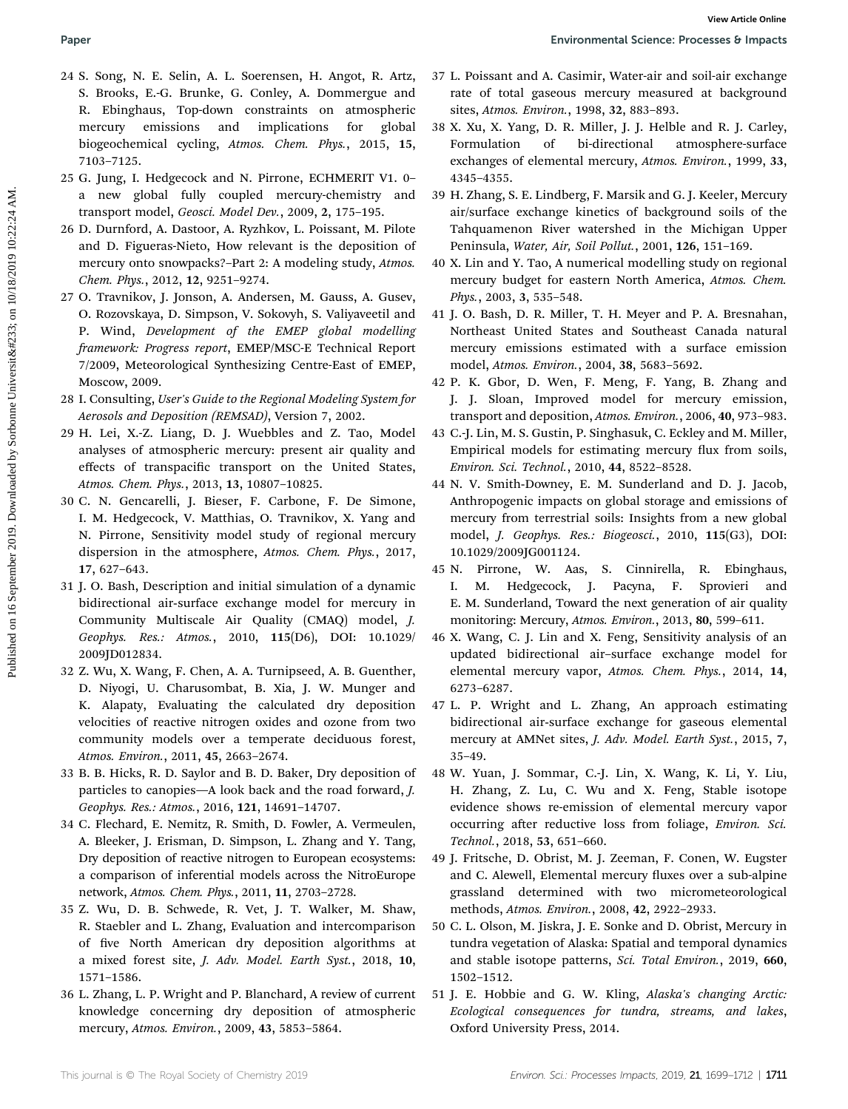- 24 S. Song, N. E. Selin, A. L. Soerensen, H. Angot, R. Artz, S. Brooks, E.-G. Brunke, G. Conley, A. Dommergue and R. Ebinghaus, Top-down constraints on atmospheric mercury emissions and implications for global biogeochemical cycling, Atmos. Chem. Phys., 2015, 15, 7103–7125. **Puer Environmental Science Processes by Fourier (Environmental Science Processes by Fourier 2019. Note that the control of the Control of Mathematical College and Distributed on 10/18/2019 10:22:24 AM. <b>View Article Onli** 
	- 25 G. Jung, I. Hedgecock and N. Pirrone, ECHMERIT V1. 0– a new global fully coupled mercury-chemistry and transport model, Geosci. Model Dev., 2009, 2, 175–195.
	- 26 D. Durnford, A. Dastoor, A. Ryzhkov, L. Poissant, M. Pilote and D. Figueras-Nieto, How relevant is the deposition of mercury onto snowpacks?–Part 2: A modeling study, Atmos. Chem. Phys., 2012, 12, 9251–9274.
	- 27 O. Travnikov, J. Jonson, A. Andersen, M. Gauss, A. Gusev, O. Rozovskaya, D. Simpson, V. Sokovyh, S. Valiyaveetil and P. Wind, Development of the EMEP global modelling framework: Progress report, EMEP/MSC-E Technical Report 7/2009, Meteorological Synthesizing Centre-East of EMEP, Moscow, 2009.
	- 28 I. Consulting, User's Guide to the Regional Modeling System for Aerosols and Deposition (REMSAD), Version 7, 2002.
	- 29 H. Lei, X.-Z. Liang, D. J. Wuebbles and Z. Tao, Model analyses of atmospheric mercury: present air quality and effects of transpacific transport on the United States, Atmos. Chem. Phys., 2013, 13, 10807–10825.
	- 30 C. N. Gencarelli, J. Bieser, F. Carbone, F. De Simone, I. M. Hedgecock, V. Matthias, O. Travnikov, X. Yang and N. Pirrone, Sensitivity model study of regional mercury dispersion in the atmosphere, Atmos. Chem. Phys., 2017, 17, 627–643.
	- 31 J. O. Bash, Description and initial simulation of a dynamic bidirectional air-surface exchange model for mercury in Community Multiscale Air Quality (CMAQ) model, J. Geophys. Res.: Atmos., 2010, 115(D6), DOI: 10.1029/ 2009JD012834.
	- 32 Z. Wu, X. Wang, F. Chen, A. A. Turnipseed, A. B. Guenther, D. Niyogi, U. Charusombat, B. Xia, J. W. Munger and K. Alapaty, Evaluating the calculated dry deposition velocities of reactive nitrogen oxides and ozone from two community models over a temperate deciduous forest, Atmos. Environ., 2011, 45, 2663–2674.
	- 33 B. B. Hicks, R. D. Saylor and B. D. Baker, Dry deposition of particles to canopies—A look back and the road forward, J. Geophys. Res.: Atmos., 2016, 121, 14691–14707.
	- 34 C. Flechard, E. Nemitz, R. Smith, D. Fowler, A. Vermeulen, A. Bleeker, J. Erisman, D. Simpson, L. Zhang and Y. Tang, Dry deposition of reactive nitrogen to European ecosystems: a comparison of inferential models across the NitroEurope network, Atmos. Chem. Phys., 2011, 11, 2703–2728.
	- 35 Z. Wu, D. B. Schwede, R. Vet, J. T. Walker, M. Shaw, R. Staebler and L. Zhang, Evaluation and intercomparison of five North American dry deposition algorithms at a mixed forest site, J. Adv. Model. Earth Syst., 2018, 10, 1571–1586.
	- 36 L. Zhang, L. P. Wright and P. Blanchard, A review of current knowledge concerning dry deposition of atmospheric mercury, Atmos. Environ., 2009, 43, 5853–5864.
- 37 L. Poissant and A. Casimir, Water-air and soil-air exchange rate of total gaseous mercury measured at background sites, Atmos. Environ., 1998, 32, 883–893.
- 38 X. Xu, X. Yang, D. R. Miller, J. J. Helble and R. J. Carley, Formulation of bi-directional atmosphere-surface exchanges of elemental mercury, Atmos. Environ., 1999, 33, 4345–4355.
- 39 H. Zhang, S. E. Lindberg, F. Marsik and G. J. Keeler, Mercury air/surface exchange kinetics of background soils of the Tahquamenon River watershed in the Michigan Upper Peninsula, Water, Air, Soil Pollut., 2001, 126, 151–169.
- 40 X. Lin and Y. Tao, A numerical modelling study on regional mercury budget for eastern North America, Atmos. Chem. Phys., 2003, 3, 535–548.
- 41 J. O. Bash, D. R. Miller, T. H. Meyer and P. A. Bresnahan, Northeast United States and Southeast Canada natural mercury emissions estimated with a surface emission model, Atmos. Environ., 2004, 38, 5683–5692.
- 42 P. K. Gbor, D. Wen, F. Meng, F. Yang, B. Zhang and J. J. Sloan, Improved model for mercury emission, transport and deposition, Atmos. Environ., 2006, 40, 973–983.
- 43 C.-J. Lin, M. S. Gustin, P. Singhasuk, C. Eckley and M. Miller, Empirical models for estimating mercury flux from soils, Environ. Sci. Technol., 2010, 44, 8522–8528.
- 44 N. V. Smith-Downey, E. M. Sunderland and D. J. Jacob, Anthropogenic impacts on global storage and emissions of mercury from terrestrial soils: Insights from a new global model, J. Geophys. Res.: Biogeosci., 2010, 115(G3), DOI: 10.1029/2009JG001124.
- 45 N. Pirrone, W. Aas, S. Cinnirella, R. Ebinghaus, I. M. Hedgecock, J. Pacyna, F. Sprovieri and E. M. Sunderland, Toward the next generation of air quality monitoring: Mercury, Atmos. Environ., 2013, 80, 599–611.
- 46 X. Wang, C. J. Lin and X. Feng, Sensitivity analysis of an updated bidirectional air–surface exchange model for elemental mercury vapor, Atmos. Chem. Phys., 2014, 14, 6273–6287.
- 47 L. P. Wright and L. Zhang, An approach estimating bidirectional air-surface exchange for gaseous elemental mercury at AMNet sites, J. Adv. Model. Earth Syst., 2015, 7, 35–49.
- 48 W. Yuan, J. Sommar, C.-J. Lin, X. Wang, K. Li, Y. Liu, H. Zhang, Z. Lu, C. Wu and X. Feng, Stable isotope evidence shows re-emission of elemental mercury vapor occurring after reductive loss from foliage, Environ. Sci. Technol., 2018, 53, 651–660.
- 49 J. Fritsche, D. Obrist, M. J. Zeeman, F. Conen, W. Eugster and C. Alewell, Elemental mercury fluxes over a sub-alpine grassland determined with two micrometeorological methods, Atmos. Environ., 2008, 42, 2922–2933.
- 50 C. L. Olson, M. Jiskra, J. E. Sonke and D. Obrist, Mercury in tundra vegetation of Alaska: Spatial and temporal dynamics and stable isotope patterns, Sci. Total Environ., 2019, 660, 1502–1512.
- 51 J. E. Hobbie and G. W. Kling, Alaska's changing Arctic: Ecological consequences for tundra, streams, and lakes, Oxford University Press, 2014.